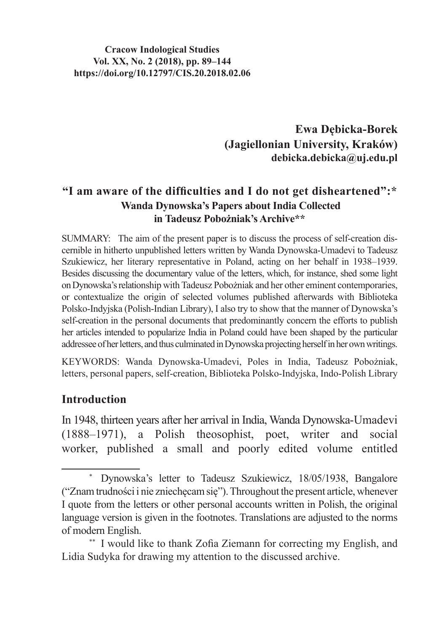### **Cracow Indological Studies Vol. XX, No. 2 (2018), pp. 89–144 https://doi.org/10.12797/CIS.20.2018.02.06**

**Ewa Dębicka-Borek (Jagiellonian University, Kraków) debicka.debicka@uj.edu.pl**

# **"I am aware of the difficulties and I do not get disheartened":\* Wanda Dynowska's Papers about India Collected in Tadeusz Pobożniak's Archive\*\***

SUMMARY: The aim of the present paper is to discuss the process of self-creation discernible in hitherto unpublished letters written by Wanda Dynowska-Umadevi to Tadeusz Szukiewicz, her literary representative in Poland, acting on her behalf in 1938–1939. Besides discussing the documentary value of the letters, which, for instance, shed some light on Dynowska'srelationship with Tadeusz Pobożniak and her other eminent contemporaries, or contextualize the origin of selected volumes published afterwards with Biblioteka Polsko-Indyjska (Polish-Indian Library), I also try to show that the manner of Dynowska's self-creation in the personal documents that predominantly concern the efforts to publish her articles intended to popularize India in Poland could have been shaped by the particular addressee of her letters, and thus culminated in Dynowska projecting herself in her own writings.

KEYWORDS: Wanda Dynowska-Umadevi, Poles in India, Tadeusz Pobożniak, letters, personal papers, self-creation, Biblioteka Polsko-Indyjska, Indo-Polish Library

## **Introduction**

In 1948, thirteen years after her arrival in India, Wanda Dynowska-Umadevi (1888–1971), a Polish theosophist, poet, writer and social worker, published a small and poorly edited volume entitled

<sup>\*</sup> Dynowska's letter to Tadeusz Szukiewicz, 18/05/1938, Bangalore ("Znamtrudności i nie zniechęcamsię").Throughout the present article, whenever I quote from the letters or other personal accounts written in Polish, the original language version is given in the footnotes. Translations are adjusted to the norms of modern English.

<sup>\*\*</sup> I would like to thank Zofia Ziemann for correcting my English, and Lidia Sudyka for drawing my attention to the discussed archive.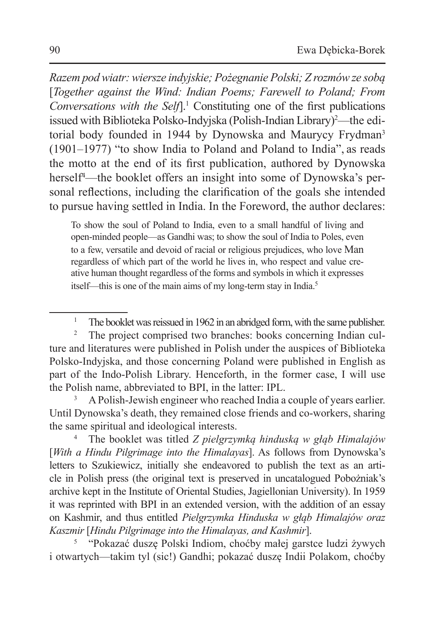*Razem pod wiatr: wiersze indyjskie; Pożegnanie Polski; Z rozmów ze sobą*  [*Together against the Wind: Indian Poems; Farewell to Poland; From Conversations with the Self*].<sup>1</sup> Constituting one of the first publications issued with Biblioteka Polsko-Indyjska (Polish-Indian Library)<sup>2</sup> —the editorial body founded in 1944 by Dynowska and Maurycy Frydman<sup>3</sup> (1901–1977) "to show India to Poland and Poland to India", as reads the motto at the end of its first publication, authored by Dynowska herself<sup>4</sup>—the booklet offers an insight into some of Dynowska's personal reflections, including the clarification of the goals she intended to pursue having settled in India. In the Foreword, the author declares:

To show the soul of Poland to India, even to a small handful of living and open-minded people—as Gandhi was; to show the soul of India to Poles, even to a few, versatile and devoid of racial or religious prejudices, who love Man regardless of which part of the world he lives in, who respect and value creative human thought regardless of the forms and symbols in which it expresses itself—this is one of the main aims of my long-term stay in India.<sup>5</sup>

<sup>3</sup> A Polish-Jewish engineer who reached India a couple of years earlier. Until Dynowska's death, they remained close friends and co-workers, sharing the same spiritual and ideological interests.

<sup>4</sup> The booklet was titled *Z pielgrzymką hinduską w głąb Himalajów*  [*With a Hindu Pilgrimage into the Himalayas*]. As follows from Dynowska's letters to Szukiewicz, initially she endeavored to publish the text as an article in Polish press (the original text is preserved in uncatalogued Pobożniak's archive kept in the Institute of Oriental Studies, Jagiellonian University). In 1959 it was reprinted with BPI in an extended version, with the addition of an essay on Kashmir, and thus entitled *Pielgrzymka Hinduska w głąb Himalajów oraz Kaszmir* [*Hindu Pilgrimage into the Himalayas, and Kashmir*].

<sup>5</sup> "Pokazać duszę Polski Indiom, choćby małej garstce ludzi żywych i otwartych—takim tyl (sic!) Gandhi; pokazać duszę Indii Polakom, choćby

<sup>&</sup>lt;sup>1</sup> The booklet was reissued in 1962 in an abridged form, with the same publisher.

<sup>&</sup>lt;sup>2</sup> The project comprised two branches: books concerning Indian culture and literatures were published in Polish under the auspices of Biblioteka Polsko-Indyjska, and those concerning Poland were published in English as part of the Indo-Polish Library. Henceforth, in the former case, I will use the Polish name, abbreviated to BPI, in the latter: IPL.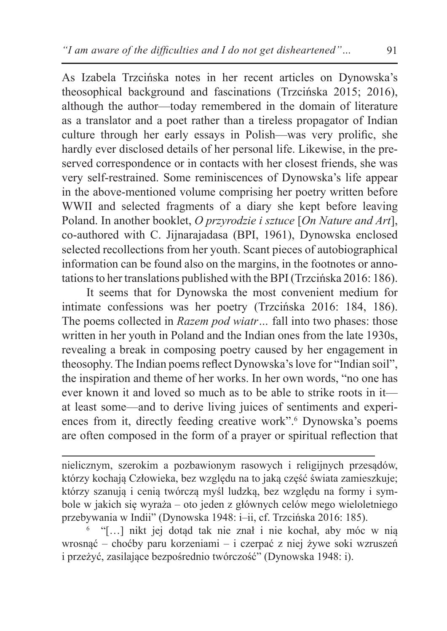As Izabela Trzcińska notes in her recent articles on Dynowska's theosophical background and fascinations (Trzcińska 2015; 2016), although the author—today remembered in the domain of literature as a translator and a poet rather than a tireless propagator of Indian culture through her early essays in Polish—was very prolific, she hardly ever disclosed details of her personal life. Likewise, in the preserved correspondence or in contacts with her closest friends, she was very self-restrained. Some reminiscences of Dynowska's life appear in the above-mentioned volume comprising her poetry written before WWII and selected fragments of a diary she kept before leaving Poland. In another booklet, *O przyrodzie i sztuce* [*On Nature and Art*], co-authored with C. Jijnarajadasa (BPI, 1961), Dynowska enclosed selected recollections from her youth. Scant pieces of autobiographical information can be found also on the margins, in the footnotes or annotationsto her translations published with the BPI (Trzcińska 2016: 186).

It seems that for Dynowska the most convenient medium for intimate confessions was her poetry (Trzcińska 2016: 184, 186). The poems collected in *Razem pod wiatr…* fall into two phases: those written in her youth in Poland and the Indian ones from the late 1930s, revealing a break in composing poetry caused by her engagement in theosophy. The Indian poems reflect Dynowska's love for "Indian soil", the inspiration and theme of her works. In her own words, "no one has ever known it and loved so much as to be able to strike roots in it at least some—and to derive living juices of sentiments and experiences from it, directly feeding creative work".<sup>6</sup> Dynowska's poems are often composed in the form of a prayer or spiritual reflection that

nielicznym, szerokim a pozbawionym rasowych i religijnych przesądów, którzy kochają Człowieka, bez względu na to jaką część świata zamieszkuje; którzy szanują i cenią twórczą myśl ludzką, bez względu na formy i symbole w jakich się wyraża – oto jeden z głównych celów mego wieloletniego przebywania w Indii" (Dynowska 1948: i–ii, cf. Trzcińska 2016: 185).

<sup>6</sup> "[…] nikt jej dotąd tak nie znał i nie kochał, aby móc w nią wrosnąć – choćby paru korzeniami – i czerpać z niej żywe soki wzruszeń i przeżyć, zasilające bezpośrednio twórczość" (Dynowska 1948: i).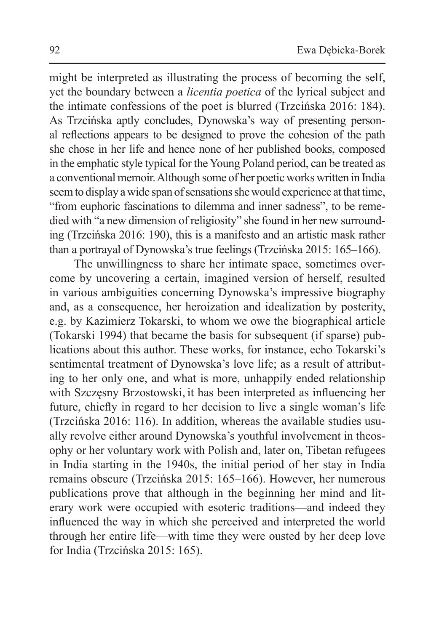might be interpreted as illustrating the process of becoming the self, yet the boundary between a *licentia poetica* of the lyrical subject and the intimate confessions of the poet is blurred (Trzcińska 2016: 184). As Trzcińska aptly concludes, Dynowska's way of presenting personal reflections appears to be designed to prove the cohesion of the path she chose in her life and hence none of her published books, composed in the emphatic style typical for the Young Poland period, can be treated as a conventional memoir. Although some of her poetic works written in India seem to display a wide span of sensations she would experience at that time, "from euphoric fascinations to dilemma and inner sadness", to be remedied with "a new dimension of religiosity" she found in her new surrounding (Trzcińska 2016: 190), this is a manifesto and an artistic mask rather than a portrayal of Dynowska's true feelings (Trzcińska 2015: 165–166).

The unwillingness to share her intimate space, sometimes overcome by uncovering a certain, imagined version of herself, resulted in various ambiguities concerning Dynowska's impressive biography and, as a consequence, her heroization and idealization by posterity, e.g. by Kazimierz Tokarski, to whom we owe the biographical article (Tokarski 1994) that became the basis for subsequent (if sparse) publications about this author. These works, for instance, echo Tokarski's sentimental treatment of Dynowska's love life; as a result of attributing to her only one, and what is more, unhappily ended relationship with Szczęsny Brzostowski, it has been interpreted as influencing her future, chiefly in regard to her decision to live a single woman's life (Trzcińska 2016: 116). In addition, whereas the available studies usually revolve either around Dynowska's youthful involvement in theosophy or her voluntary work with Polish and, later on, Tibetan refugees in India starting in the 1940s, the initial period of her stay in India remains obscure (Trzcińska 2015: 165–166). However, her numerous publications prove that although in the beginning her mind and literary work were occupied with esoteric traditions—and indeed they influenced the way in which she perceived and interpreted the world through her entire life—with time they were ousted by her deep love for India (Trzcińska 2015: 165).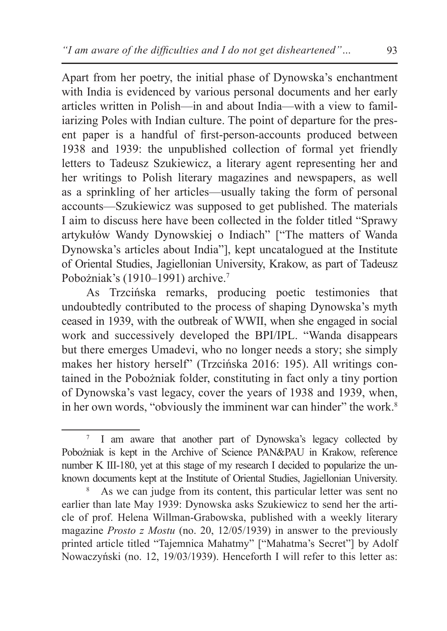Apart from her poetry, the initial phase of Dynowska's enchantment with India is evidenced by various personal documents and her early articles written in Polish—in and about India—with a view to familiarizing Poles with Indian culture. The point of departure for the present paper is a handful of first-person-accounts produced between 1938 and 1939: the unpublished collection of formal yet friendly letters to Tadeusz Szukiewicz, a literary agent representing her and her writings to Polish literary magazines and newspapers, as well as a sprinkling of her articles—usually taking the form of personal accounts—Szukiewicz was supposed to get published. The materials I aim to discuss here have been collected in the folder titled "Sprawy artykułów Wandy Dynowskiej o Indiach" ["The matters of Wanda Dynowska's articles about India"], kept uncatalogued at the Institute of Oriental Studies, Jagiellonian University, Krakow, as part of Tadeusz Pobożniak's (1910–1991) archive.<sup>7</sup>

As Trzcińska remarks, producing poetic testimonies that undoubtedly contributed to the process of shaping Dynowska's myth ceased in 1939, with the outbreak of WWII, when she engaged in social work and successively developed the BPI/IPL. "Wanda disappears but there emerges Umadevi, who no longer needs a story; she simply makes her history herself" (Trzcińska 2016: 195). All writings contained in the Pobożniak folder, constituting in fact only a tiny portion of Dynowska's vast legacy, cover the years of 1938 and 1939, when, in her own words, "obviously the imminent war can hinder" the work.<sup>8</sup>

<sup>7</sup> I am aware that another part of Dynowska's legacy collected by Pobożniak is kept in the Archive of Science PAN&PAU in Krakow, reference number K III-180, yet at this stage of my research I decided to popularize the unknown documents kept at the Institute of Oriental Studies, Jagiellonian University.

As we can judge from its content, this particular letter was sent no earlier than late May 1939: Dynowska asks Szukiewicz to send her the article of prof. Helena Willman-Grabowska, published with a weekly literary magazine *Prosto z Mostu* (no. 20, 12/05/1939) in answer to the previously printed article titled "Tajemnica Mahatmy" ["Mahatma's Secret"] by Adolf Nowaczyński (no. 12, 19/03/1939). Henceforth I will refer to this letter as: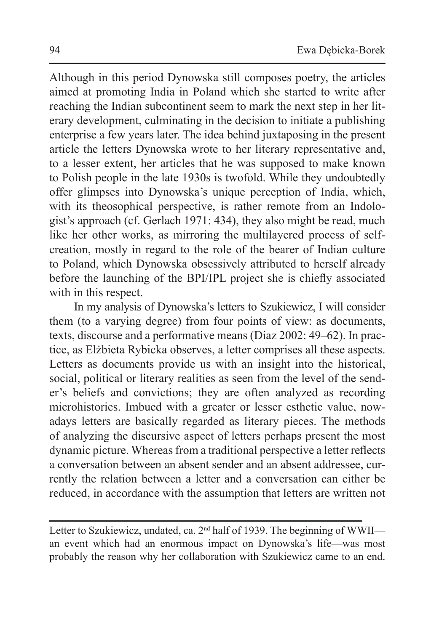Although in this period Dynowska still composes poetry, the articles aimed at promoting India in Poland which she started to write after reaching the Indian subcontinent seem to mark the next step in her literary development, culminating in the decision to initiate a publishing enterprise a few years later. The idea behind juxtaposing in the present article the letters Dynowska wrote to her literary representative and, to a lesser extent, her articles that he was supposed to make known to Polish people in the late 1930s is twofold. While they undoubtedly offer glimpses into Dynowska's unique perception of India, which, with its theosophical perspective, is rather remote from an Indologist's approach (cf. Gerlach 1971: 434), they also might be read, much like her other works, as mirroring the multilayered process of selfcreation, mostly in regard to the role of the bearer of Indian culture to Poland, which Dynowska obsessively attributed to herself already before the launching of the BPI/IPL project she is chiefly associated with in this respect.

In my analysis of Dynowska's letters to Szukiewicz, I will consider them (to a varying degree) from four points of view: as documents, texts, discourse and a performative means (Diaz 2002: 49–62). In practice, as Elżbieta Rybicka observes, a letter comprises all these aspects. Letters as documents provide us with an insight into the historical, social, political or literary realities as seen from the level of the sender's beliefs and convictions; they are often analyzed as recording microhistories. Imbued with a greater or lesser esthetic value, nowadays letters are basically regarded as literary pieces. The methods of analyzing the discursive aspect of letters perhaps present the most dynamic picture. Whereas from a traditional perspective a letter reflects a conversation between an absent sender and an absent addressee, currently the relation between a letter and a conversation can either be reduced, in accordance with the assumption that letters are written not

Letter to Szukiewicz, undated, ca. 2<sup>nd</sup> half of 1939. The beginning of WWII an event which had an enormous impact on Dynowska's life—was most probably the reason why her collaboration with Szukiewicz came to an end.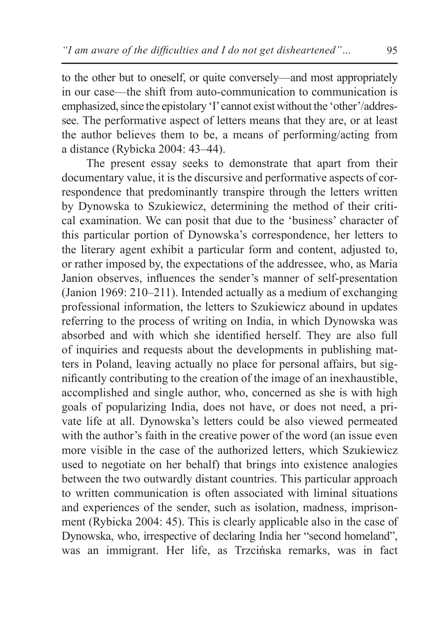to the other but to oneself, or quite conversely—and most appropriately in our case—the shift from auto-communication to communication is emphasized, since the epistolary 'I' cannot exist without the 'other'/addressee. The performative aspect of letters means that they are, or at least the author believes them to be, a means of performing/acting from a distance (Rybicka 2004: 43–44).

The present essay seeks to demonstrate that apart from their documentary value, it is the discursive and performative aspects of correspondence that predominantly transpire through the letters written by Dynowska to Szukiewicz, determining the method of their critical examination. We can posit that due to the 'business' character of this particular portion of Dynowska's correspondence, her letters to the literary agent exhibit a particular form and content, adjusted to, or rather imposed by, the expectations of the addressee, who, as Maria Janion observes, influences the sender's manner of self-presentation (Janion 1969: 210–211). Intended actually as a medium of exchanging professional information, the letters to Szukiewicz abound in updates referring to the process of writing on India, in which Dynowska was absorbed and with which she identified herself. They are also full of inquiries and requests about the developments in publishing matters in Poland, leaving actually no place for personal affairs, but significantly contributing to the creation of the image of an inexhaustible, accomplished and single author, who, concerned as she is with high goals of popularizing India, does not have, or does not need, a private life at all. Dynowska's letters could be also viewed permeated with the author's faith in the creative power of the word (an issue even more visible in the case of the authorized letters, which Szukiewicz used to negotiate on her behalf) that brings into existence analogies between the two outwardly distant countries. This particular approach to written communication is often associated with liminal situations and experiences of the sender, such as isolation, madness, imprisonment (Rybicka 2004: 45). This is clearly applicable also in the case of Dynowska, who, irrespective of declaring India her "second homeland", was an immigrant. Her life, as Trzcińska remarks, was in fact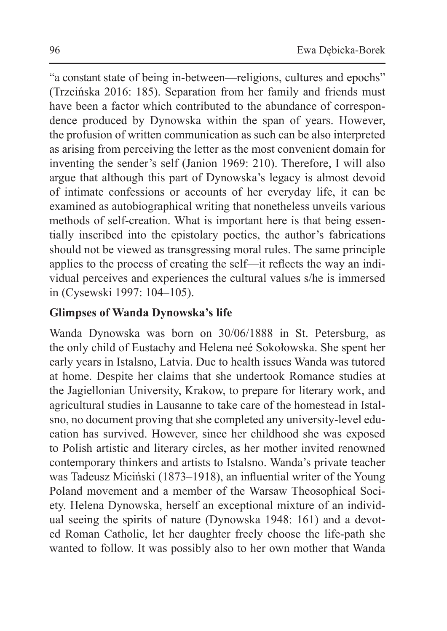"a constant state of being in-between—religions, cultures and epochs" (Trzcińska 2016: 185). Separation from her family and friends must have been a factor which contributed to the abundance of correspondence produced by Dynowska within the span of years. However, the profusion of written communication as such can be also interpreted as arising from perceiving the letter as the most convenient domain for inventing the sender's self (Janion 1969: 210). Therefore, I will also argue that although this part of Dynowska's legacy is almost devoid of intimate confessions or accounts of her everyday life, it can be examined as autobiographical writing that nonetheless unveils various methods of self-creation. What is important here is that being essentially inscribed into the epistolary poetics, the author's fabrications should not be viewed as transgressing moral rules. The same principle applies to the process of creating the self—it reflects the way an individual perceives and experiences the cultural values s/he is immersed in (Cysewski 1997: 104–105).

# **Glimpses of Wanda Dynowska's life**

Wanda Dynowska was born on 30/06/1888 in St. Petersburg, as the only child of Eustachy and Helena neé Sokołowska. She spent her early years in Istalsno, Latvia. Due to health issues Wanda was tutored at home. Despite her claims that she undertook Romance studies at the Jagiellonian University, Krakow, to prepare for literary work, and agricultural studies in Lausanne to take care of the homestead in Istalsno, no document proving that she completed any university-level education has survived. However, since her childhood she was exposed to Polish artistic and literary circles, as her mother invited renowned contemporary thinkers and artists to Istalsno. Wanda's private teacher was Tadeusz Miciński (1873–1918), an influential writer of the Young Poland movement and a member of the Warsaw Theosophical Society. Helena Dynowska, herself an exceptional mixture of an individual seeing the spirits of nature (Dynowska 1948: 161) and a devoted Roman Catholic, let her daughter freely choose the life-path she wanted to follow. It was possibly also to her own mother that Wanda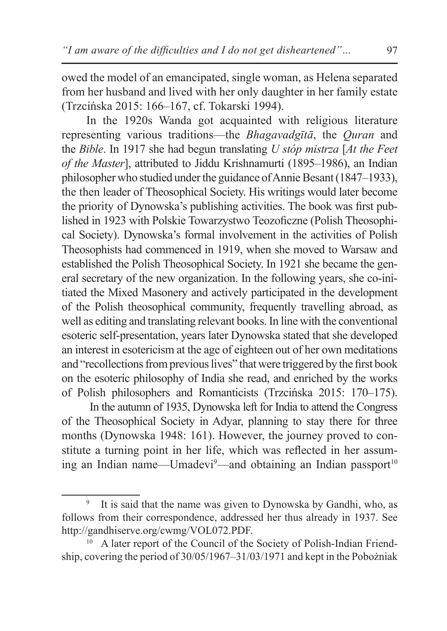owed the model of an emancipated, single woman, as Helena separated from her husband and lived with her only daughter in her family estate (Trzcińska 2015: 166–167, cf. Tokarski 1994).

In the 1920s Wanda got acquainted with religious literature representing various traditions—the *Bhagavadgītā*, the *Quran* and the *Bible*. In 1917 she had begun translating *U stóp mistrza* [*At the Feet of the Master*], attributed to Jiddu Krishnamurti (1895–1986), an Indian philosopher who studied under the guidance of Annie Besant (1847–1933), the then leader of Theosophical Society. His writings would later become the priority of Dynowska's publishing activities. The book was first published in 1923 with Polskie Towarzystwo Teozoficzne (Polish Theosophical Society). Dynowska's formal involvement in the activities of Polish Theosophists had commenced in 1919, when she moved to Warsaw and established the Polish Theosophical Society. In 1921 she became the general secretary of the new organization. In the following years, she co-initiated the Mixed Masonery and actively participated in the development of the Polish theosophical community, frequently travelling abroad, as well as editing and translating relevant books. In line with the conventional esoteric self-presentation, years later Dynowska stated that she developed an interest in esotericism at the age of eighteen out of her own meditations and "recollections from previous lives" that were triggered by the first book on the esoteric philosophy of India she read, and enriched by the works of Polish philosophers and Romanticists (Trzcińska 2015: 170–175).

In the autumn of 1935, Dynowska left for India to attend the Congress of the Theosophical Society in Adyar, planning to stay there for three months (Dynowska 1948: 161). However, the journey proved to constitute a turning point in her life, which was reflected in her assuming an Indian name—Umadevi<sup>9</sup>—and obtaining an Indian passport<sup>10</sup>

It is said that the name was given to Dynowska by Gandhi, who, as follows from their correspondence, addressed her thus already in 1937. See http://gandhiserve.org/cwmg/VOL072.PDF.

A later report of the Council of the Society of Polish-Indian Friendship, covering the period of 30/05/1967–31/03/1971 and kept in the Pobożniak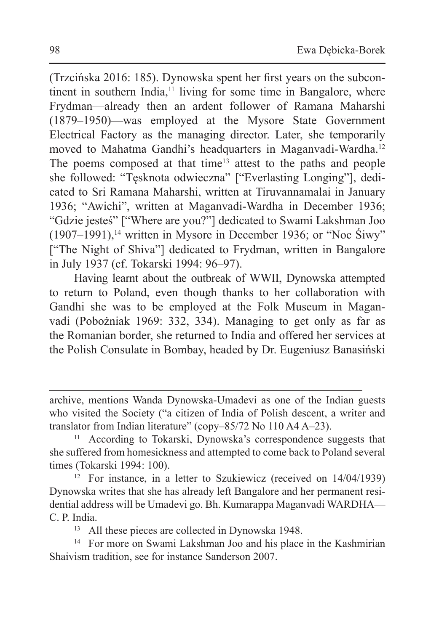(Trzcińska 2016: 185). Dynowska spent her first years on the subcontinent in southern India, $<sup>11</sup>$  living for some time in Bangalore, where</sup> Frydman—already then an ardent follower of Ramana Maharshi (1879–1950)—was employed at the Mysore State Government Electrical Factory as the managing director. Later, she temporarily moved to Mahatma Gandhi's headquarters in Maganvadi-Wardha.<sup>12</sup> The poems composed at that time<sup>13</sup> attest to the paths and people she followed: "Tęsknota odwieczna" ["Everlasting Longing"], dedicated to Sri Ramana Maharshi, written at Tiruvannamalai in January 1936; "Awichi", written at Maganvadi-Wardha in December 1936; "Gdzie jesteś" ["Where are you?"] dedicated to Swami Lakshman Joo  $(1907–1991)$ ,<sup>14</sup> written in Mysore in December 1936; or "Noc Śiwy" ["The Night of Shiva"] dedicated to Frydman, written in Bangalore in July 1937 (cf. Tokarski 1994: 96–97).

Having learnt about the outbreak of WWII, Dynowska attempted to return to Poland, even though thanks to her collaboration with Gandhi she was to be employed at the Folk Museum in Maganvadi (Pobożniak 1969: 332, 334). Managing to get only as far as the Romanian border, she returned to India and offered her services at the Polish Consulate in Bombay, headed by Dr. Eugeniusz Banasiński

<sup>12</sup> For instance, in a letter to Szukiewicz (received on 14/04/1939) Dynowska writes that she has already left Bangalore and her permanent residential address will be Umadevi go. Bh. Kumarappa Maganvadi WARDHA— C. P. India.

<sup>13</sup> All these pieces are collected in Dynowska 1948.

<sup>14</sup> For more on Swami Lakshman Joo and his place in the Kashmirian Shaivism tradition, see for instance Sanderson 2007.

archive, mentions Wanda Dynowska-Umadevi as one of the Indian guests who visited the Society ("a citizen of India of Polish descent, a writer and translator from Indian literature" (copy–85/72 No 110 A4 A–23).

<sup>11</sup> According to Tokarski, Dynowska's correspondence suggests that she suffered from homesickness and attempted to come back to Poland several times (Tokarski 1994: 100).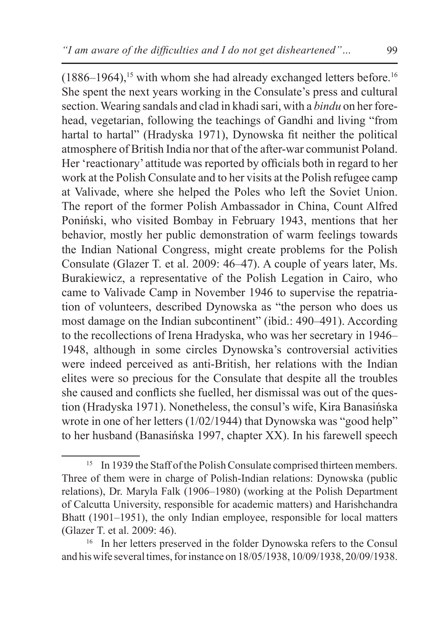$(1886-1964)$ ,<sup>15</sup> with whom she had already exchanged letters before.<sup>16</sup> She spent the next years working in the Consulate's press and cultural section. Wearing sandals and clad in khadi sari, with a *bindu* on her forehead, vegetarian, following the teachings of Gandhi and living "from hartal to hartal" (Hradyska 1971), Dynowska fit neither the political atmosphere of British India nor that of the after-war communist Poland. Her 'reactionary' attitude was reported by officials both in regard to her work at the Polish Consulate and to her visits at the Polish refugee camp at Valivade, where she helped the Poles who left the Soviet Union. The report of the former Polish Ambassador in China, Count Alfred Poniński, who visited Bombay in February 1943, mentions that her behavior, mostly her public demonstration of warm feelings towards the Indian National Congress, might create problems for the Polish Consulate (Glazer T. et al. 2009: 46–47). A couple of years later, Ms. Burakiewicz, a representative of the Polish Legation in Cairo, who came to Valivade Camp in November 1946 to supervise the repatriation of volunteers, described Dynowska as "the person who does us most damage on the Indian subcontinent" (ibid.: 490–491). According to the recollections of Irena Hradyska, who was her secretary in 1946– 1948, although in some circles Dynowska's controversial activities were indeed perceived as anti-British, her relations with the Indian elites were so precious for the Consulate that despite all the troubles she caused and conflicts she fuelled, her dismissal was out of the question (Hradyska 1971). Nonetheless, the consul's wife, Kira Banasińska wrote in one of her letters (1/02/1944) that Dynowska was "good help" to her husband (Banasińska 1997, chapter XX). In his farewell speech

<sup>&</sup>lt;sup>15</sup> In 1939 the Staff of the Polish Consulate comprised thirteen members. Three of them were in charge of Polish-Indian relations: Dynowska (public relations), Dr. Maryla Falk (1906–1980) (working at the Polish Department of Calcutta University, responsible for academic matters) and Harishchandra Bhatt (1901–1951), the only Indian employee, responsible for local matters (Glazer T. et al. 2009: 46).

<sup>16</sup> In her letters preserved in the folder Dynowska refers to the Consul and his wife several times, for instance on  $18/05/1938$ ,  $10/09/1938$ ,  $20/09/1938$ .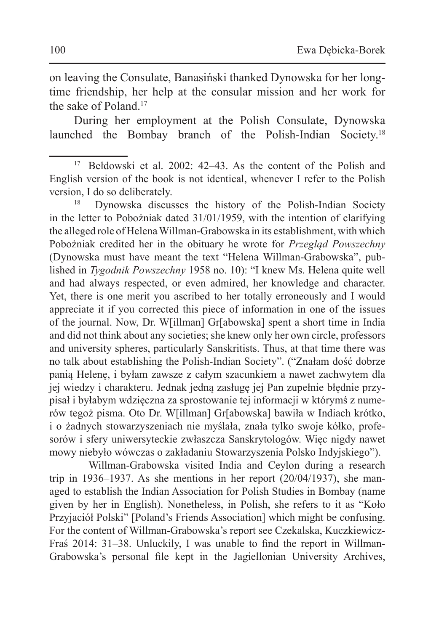on leaving the Consulate, Banasiński thanked Dynowska for her longtime friendship, her help at the consular mission and her work for the sake of Poland.<sup>17</sup>

During her employment at the Polish Consulate, Dynowska launched the Bombay branch of the Polish-Indian Society.<sup>18</sup>

<sup>17</sup> Bełdowski et al. 2002: 42–43. As the content of the Polish and English version of the book is not identical, whenever I refer to the Polish version, I do so deliberately.

Dynowska discusses the history of the Polish-Indian Society in the letter to Pobożniak dated 31/01/1959, with the intention of clarifying the alleged role of HelenaWillman-Grabowska in its establishment, with which Pobożniak credited her in the obituary he wrote for *Przegląd Powszechny* (Dynowska must have meant the text "Helena Willman-Grabowska", published in *Tygodnik Powszechny* 1958 no. 10): "I knew Ms. Helena quite well and had always respected, or even admired, her knowledge and character. Yet, there is one merit you ascribed to her totally erroneously and I would appreciate it if you corrected this piece of information in one of the issues of the journal. Now, Dr. W[illman] Gr[abowska] spent a short time in India and did not think about any societies; she knew only her own circle, professors and university spheres, particularly Sanskritists. Thus, at that time there was no talk about establishing the Polish-Indian Society". ("Znałam dość dobrze panią Helenę, i byłam zawsze z całym szacunkiem a nawet zachwytem dla jej wiedzy i charakteru. Jednak jedną zasługę jej Pan zupełnie błędnie przypisał i byłabym wdzięczna za sprostowanie tej informacji w którymś z numerów tegoż pisma. Oto Dr. W[illman] Gr[abowska] bawiła w Indiach krótko, i o żadnych stowarzyszeniach nie myślała, znała tylko swoje kółko, profesorów i sfery uniwersyteckie zwłaszcza Sanskrytologów. Więc nigdy nawet mowy niebyło wówczas o zakładaniu Stowarzyszenia Polsko Indyjskiego").

Willman-Grabowska visited India and Ceylon during a research trip in 1936–1937. As she mentions in her report (20/04/1937), she managed to establish the Indian Association for Polish Studies in Bombay (name given by her in English). Nonetheless, in Polish, she refers to it as "Koło Przyjaciół Polski" [Poland's Friends Association] which might be confusing. For the content of Willman-Grabowska's report see Czekalska, Kuczkiewicz-Fraś 2014: 31–38. Unluckily, I was unable to find the report in Willman-Grabowska's personal file kept in the Jagiellonian University Archives,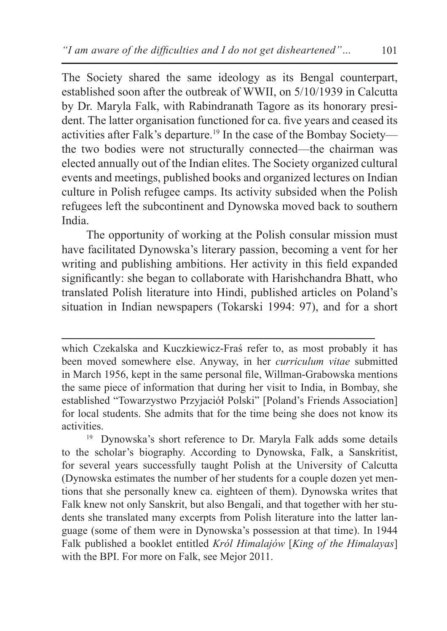The Society shared the same ideology as its Bengal counterpart, established soon after the outbreak of WWII, on 5/10/1939 in Calcutta by Dr. Maryla Falk, with Rabindranath Tagore as its honorary president. The latter organisation functioned for ca. five years and ceased its activities after Falk's departure.19 In the case of the Bombay Society the two bodies were not structurally connected—the chairman was elected annually out of the Indian elites. The Society organized cultural events and meetings, published books and organized lectures on Indian culture in Polish refugee camps. Its activity subsided when the Polish refugees left the subcontinent and Dynowska moved back to southern India.

The opportunity of working at the Polish consular mission must have facilitated Dynowska's literary passion, becoming a vent for her writing and publishing ambitions. Her activity in this field expanded significantly: she began to collaborate with Harishchandra Bhatt, who translated Polish literature into Hindi, published articles on Poland's situation in Indian newspapers (Tokarski 1994: 97), and for a short

which Czekalska and Kuczkiewicz-Fraś refer to, as most probably it has been moved somewhere else. Anyway, in her *curriculum vitae* submitted in March 1956, kept in the same personal file, Willman-Grabowska mentions the same piece of information that during her visit to India, in Bombay, she established "Towarzystwo Przyjaciół Polski" [Poland's Friends Association] for local students. She admits that for the time being she does not know its activities.<br><sup>19</sup> Dynowska's short reference to Dr. Maryla Falk adds some details

to the scholar's biography. According to Dynowska, Falk, a Sanskritist, for several years successfully taught Polish at the University of Calcutta (Dynowska estimates the number of her students for a couple dozen yet mentions that she personally knew ca. eighteen of them). Dynowska writes that Falk knew not only Sanskrit, but also Bengali, and that together with her students she translated many excerpts from Polish literature into the latter language (some of them were in Dynowska's possession at that time). In 1944 Falk published a booklet entitled *Król Himalajów* [*King of the Himalayas*] with the BPI. For more on Falk, see Mejor 2011.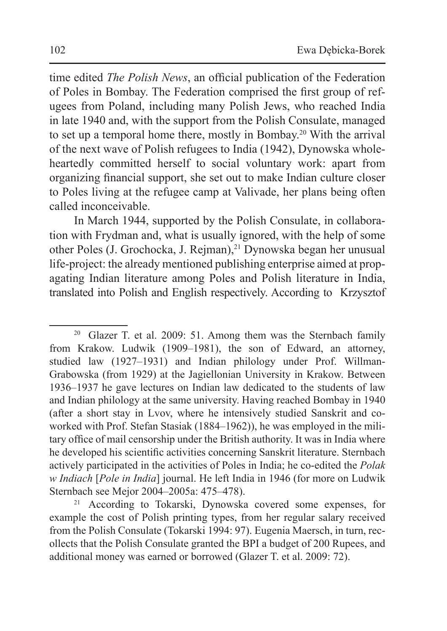time edited *The Polish News*, an official publication of the Federation of Poles in Bombay. The Federation comprised the first group of refugees from Poland, including many Polish Jews, who reached India in late 1940 and, with the support from the Polish Consulate, managed to set up a temporal home there, mostly in Bombay.20 With the arrival of the next wave of Polish refugees to India (1942), Dynowska wholeheartedly committed herself to social voluntary work: apart from organizing financial support, she set out to make Indian culture closer to Poles living at the refugee camp at Valivade, her plans being often called inconceivable.

In March 1944, supported by the Polish Consulate, in collaboration with Frydman and, what is usually ignored, with the help of some other Poles (J. Grochocka, J. Rejman),<sup>21</sup> Dynowska began her unusual life-project: the already mentioned publishing enterprise aimed at propagating Indian literature among Poles and Polish literature in India, translated into Polish and English respectively. According to Krzysztof

<sup>&</sup>lt;sup>20</sup> Glazer T. et al. 2009: 51. Among them was the Sternbach family from Krakow. Ludwik (1909–1981), the son of Edward, an attorney, studied law (1927–1931) and Indian philology under Prof. Willman-Grabowska (from 1929) at the Jagiellonian University in Krakow. Between 1936–1937 he gave lectures on Indian law dedicated to the students of law and Indian philology at the same university. Having reached Bombay in 1940 (after a short stay in Lvov, where he intensively studied Sanskrit and coworked with Prof. Stefan Stasiak (1884–1962)), he was employed in the military office of mail censorship under the British authority. It was in India where he developed his scientific activities concerning Sanskrit literature. Sternbach actively participated in the activities of Poles in India; he co-edited the *Polak w Indiach* [*Pole in India*] journal. He left India in 1946 (for more on Ludwik Sternbach see Mejor 2004–2005a: 475–478).

<sup>21</sup> According to Tokarski, Dynowska covered some expenses, for example the cost of Polish printing types, from her regular salary received from the Polish Consulate (Tokarski 1994: 97). Eugenia Maersch, in turn, recollects that the Polish Consulate granted the BPI a budget of 200 Rupees, and additional money was earned or borrowed (Glazer T. et al. 2009: 72).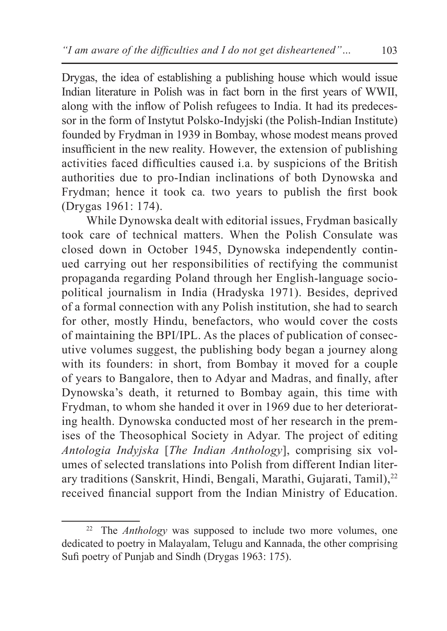Drygas, the idea of establishing a publishing house which would issue Indian literature in Polish was in fact born in the first years of WWII, along with the inflow of Polish refugees to India. It had its predecessor in the form of Instytut Polsko-Indyjski (the Polish-Indian Institute) founded by Frydman in 1939 in Bombay, whose modest means proved insufficient in the new reality. However, the extension of publishing activities faced difficulties caused i.a. by suspicions of the British authorities due to pro-Indian inclinations of both Dynowska and Frydman; hence it took ca*.* two years to publish the first book (Drygas 1961: 174).

While Dynowska dealt with editorial issues, Frydman basically took care of technical matters. When the Polish Consulate was closed down in October 1945, Dynowska independently continued carrying out her responsibilities of rectifying the communist propaganda regarding Poland through her English-language sociopolitical journalism in India (Hradyska 1971). Besides, deprived of a formal connection with any Polish institution, she had to search for other, mostly Hindu, benefactors, who would cover the costs of maintaining the BPI/IPL. As the places of publication of consecutive volumes suggest, the publishing body began a journey along with its founders: in short, from Bombay it moved for a couple of years to Bangalore, then to Adyar and Madras, and finally, after Dynowska's death, it returned to Bombay again, this time with Frydman, to whom she handed it over in 1969 due to her deteriorating health. Dynowska conducted most of her research in the premises of the Theosophical Society in Adyar. The project of editing *Antologia Indyjska* [*The Indian Anthology*], comprising six volumes of selected translations into Polish from different Indian literary traditions (Sanskrit, Hindi, Bengali, Marathi, Gujarati, Tamil),<sup>22</sup> received financial support from the Indian Ministry of Education.

<sup>22</sup> The *Anthology* was supposed to include two more volumes, one dedicated to poetry in Malayalam, Telugu and Kannada, the other comprising Sufi poetry of Punjab and Sindh (Drygas 1963: 175).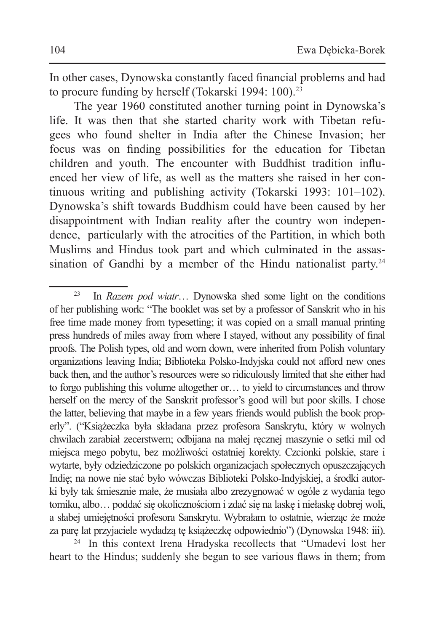In other cases, Dynowska constantly faced financial problems and had to procure funding by herself (Tokarski 1994: 100).<sup>23</sup>

The year 1960 constituted another turning point in Dynowska's life. It was then that she started charity work with Tibetan refugees who found shelter in India after the Chinese Invasion; her focus was on finding possibilities for the education for Tibetan children and youth. The encounter with Buddhist tradition influenced her view of life, as well as the matters she raised in her continuous writing and publishing activity (Tokarski 1993: 101–102). Dynowska's shift towards Buddhism could have been caused by her disappointment with Indian reality after the country won independence, particularly with the atrocities of the Partition, in which both Muslims and Hindus took part and which culminated in the assassination of Gandhi by a member of the Hindu nationalist party.<sup>24</sup>

<sup>24</sup> In this context Irena Hradyska recollects that "Umadevi lost her heart to the Hindus; suddenly she began to see various flaws in them; from

<sup>23</sup> In *Razem pod wiatr*… Dynowska shed some light on the conditions of her publishing work: "The booklet was set by a professor of Sanskrit who in his free time made money from typesetting; it was copied on a small manual printing press hundreds of miles away from where I stayed, without any possibility of final proofs. The Polish types, old and worn down, were inherited from Polish voluntary organizations leaving India; Biblioteka Polsko-Indyjska could not afford new ones back then, and the author's resources were so ridiculously limited that she either had to forgo publishing this volume altogether or… to yield to circumstances and throw herself on the mercy of the Sanskrit professor's good will but poor skills. I chose the latter, believing that maybe in a few years friends would publish the book properly". ("Książeczka była składana przez profesora Sanskrytu, który w wolnych chwilach zarabiał zecerstwem; odbijana na małej ręcznej maszynie o setki mil od miejsca mego pobytu, bez możliwości ostatniej korekty. Czcionki polskie, stare i wytarte, były odziedziczone po polskich organizacjach społecznych opuszczających Indię; na nowe nie stać było wówczas Biblioteki Polsko-Indyjskiej, a środki autorki były tak śmiesznie małe, że musiała albo zrezygnować w ogóle z wydania tego tomiku, albo… poddać się okolicznościom i zdać się na laskę i niełaskę dobrej woli, a słabej umiejętności profesora Sanskrytu. Wybrałam to ostatnie, wierząc że może za parę lat przyjaciele wydadzą tę książeczkę odpowiednio") (Dynowska 1948: iii).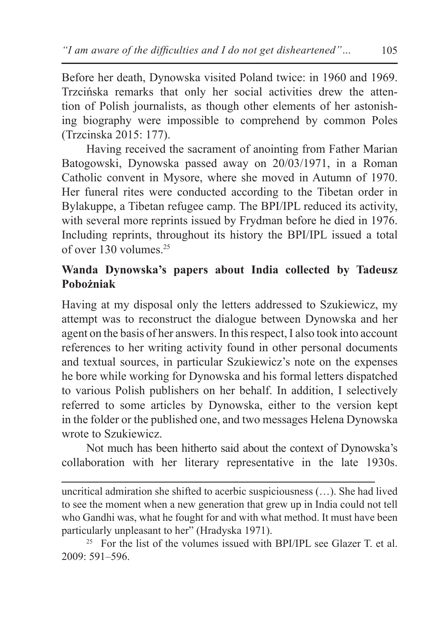Before her death, Dynowska visited Poland twice: in 1960 and 1969. Trzcińska remarks that only her social activities drew the attention of Polish journalists, as though other elements of her astonishing biography were impossible to comprehend by common Poles (Trzcinska 2015: 177).

Having received the sacrament of anointing from Father Marian Batogowski, Dynowska passed away on 20/03/1971, in a Roman Catholic convent in Mysore, where she moved in Autumn of 1970. Her funeral rites were conducted according to the Tibetan order in Bylakuppe, a Tibetan refugee camp. The BPI/IPL reduced its activity, with several more reprints issued by Frydman before he died in 1976. Including reprints, throughout its history the BPI/IPL issued a total of over  $130$  volumes<sup> $25$ </sup>

# **Wanda Dynowska's papers about India collected by Tadeusz Pobożniak**

Having at my disposal only the letters addressed to Szukiewicz, my attempt was to reconstruct the dialogue between Dynowska and her agent on the basis of her answers. In thisrespect, I also took into account references to her writing activity found in other personal documents and textual sources, in particular Szukiewicz's note on the expenses he bore while working for Dynowska and his formal letters dispatched to various Polish publishers on her behalf. In addition, I selectively referred to some articles by Dynowska, either to the version kept in the folder or the published one, and two messages Helena Dynowska wrote to Szukiewicz.

Not much has been hitherto said about the context of Dynowska's collaboration with her literary representative in the late 1930s.

uncritical admiration she shifted to acerbic suspiciousness (…). She had lived to see the moment when a new generation that grew up in India could not tell who Gandhi was, what he fought for and with what method. It must have been particularly unpleasant to her" (Hradyska 1971).

<sup>25</sup> For the list of the volumes issued with BPI/IPL see Glazer T, et al. 2009: 591–596.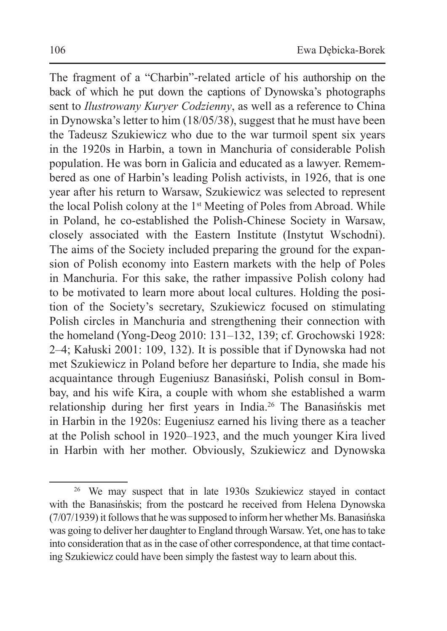The fragment of a "Charbin"-related article of his authorship on the back of which he put down the captions of Dynowska's photographs sent to *Ilustrowany Kuryer Codzienny*, as well as a reference to China in Dynowska's letter to him (18/05/38), suggest that he must have been the Tadeusz Szukiewicz who due to the war turmoil spent six years in the 1920s in Harbin, a town in Manchuria of considerable Polish population. He was born in Galicia and educated as a lawyer. Remembered as one of Harbin's leading Polish activists, in 1926, that is one year after his return to Warsaw, Szukiewicz was selected to represent the local Polish colony at the 1st Meeting of Poles from Abroad. While in Poland, he co-established the Polish-Chinese Society in Warsaw, closely associated with the Eastern Institute (Instytut Wschodni). The aims of the Society included preparing the ground for the expansion of Polish economy into Eastern markets with the help of Poles in Manchuria. For this sake, the rather impassive Polish colony had to be motivated to learn more about local cultures. Holding the position of the Society's secretary, Szukiewicz focused on stimulating Polish circles in Manchuria and strengthening their connection with the homeland (Yong-Deog 2010: 131–132, 139; cf. Grochowski 1928: 2–4; Kałuski 2001: 109, 132). It is possible that if Dynowska had not met Szukiewicz in Poland before her departure to India, she made his acquaintance through Eugeniusz Banasiński, Polish consul in Bombay, and his wife Kira, a couple with whom she established a warm relationship during her first years in India.<sup>26</sup> The Banasińskis met in Harbin in the 1920s: Eugeniusz earned his living there as a teacher at the Polish school in 1920–1923, and the much younger Kira lived in Harbin with her mother. Obviously, Szukiewicz and Dynowska

<sup>26</sup> We may suspect that in late 1930s Szukiewicz stayed in contact with the Banasińskis; from the postcard he received from Helena Dynowska  $(7/07/1939)$  it follows that he was supposed to inform her whether Ms. Banasińska was going to deliver her daughter to England through Warsaw. Yet, one has to take into consideration that as in the case of other correspondence, at that time contacting Szukiewicz could have been simply the fastest way to learn about this.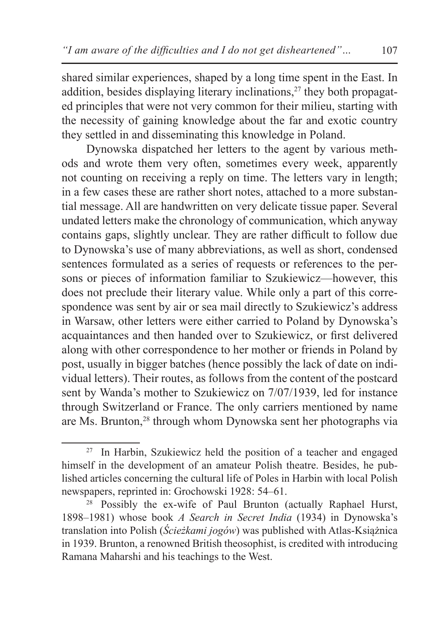shared similar experiences, shaped by a long time spent in the East. In addition, besides displaying literary inclinations.<sup>27</sup> they both propagated principles that were not very common for their milieu, starting with the necessity of gaining knowledge about the far and exotic country they settled in and disseminating this knowledge in Poland.

Dynowska dispatched her letters to the agent by various methods and wrote them very often, sometimes every week, apparently not counting on receiving a reply on time. The letters vary in length; in a few cases these are rather short notes, attached to a more substantial message. All are handwritten on very delicate tissue paper. Several undated letters make the chronology of communication, which anyway contains gaps, slightly unclear. They are rather difficult to follow due to Dynowska's use of many abbreviations, as well as short, condensed sentences formulated as a series of requests or references to the persons or pieces of information familiar to Szukiewicz—however, this does not preclude their literary value. While only a part of this correspondence was sent by air or sea mail directly to Szukiewicz's address in Warsaw, other letters were either carried to Poland by Dynowska's acquaintances and then handed over to Szukiewicz, or first delivered along with other correspondence to her mother or friends in Poland by post, usually in bigger batches (hence possibly the lack of date on individual letters). Their routes, as follows from the content of the postcard sent by Wanda's mother to Szukiewicz on 7/07/1939, led for instance through Switzerland or France. The only carriers mentioned by name are Ms. Brunton,28 through whom Dynowska sent her photographs via

 $27$  In Harbin, Szukiewicz held the position of a teacher and engaged himself in the development of an amateur Polish theatre. Besides, he published articles concerning the cultural life of Poles in Harbin with local Polish newspapers, reprinted in: Grochowski 1928: 54–61.

<sup>&</sup>lt;sup>28</sup> Possibly the ex-wife of Paul Brunton (actually Raphael Hurst, 1898–1981) whose book *A Search in Secret India* (1934) in Dynowska's translation into Polish (*Ścieżkami jogów*) was published with Atlas-Książnica in 1939. Brunton, a renowned British theosophist, is credited with introducing Ramana Maharshi and his teachings to the West.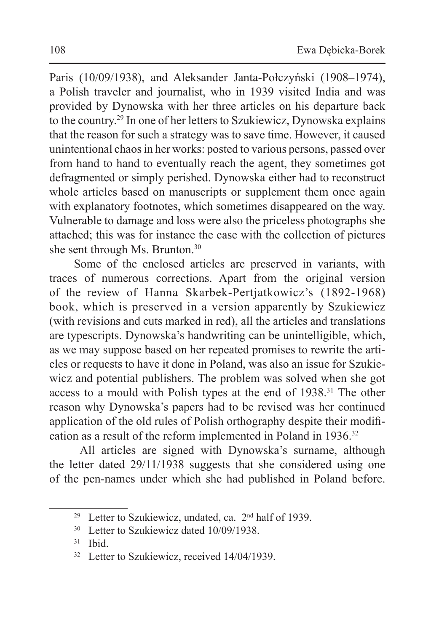Paris (10/09/1938), and Aleksander Janta-Połczyński (1908–1974), a Polish traveler and journalist, who in 1939 visited India and was provided by Dynowska with her three articles on his departure back to the country.29 In one of her letters to Szukiewicz, Dynowska explains that the reason for such a strategy was to save time. However, it caused unintentional chaos in her works: posted to various persons, passed over from hand to hand to eventually reach the agent, they sometimes got defragmented or simply perished. Dynowska either had to reconstruct whole articles based on manuscripts or supplement them once again with explanatory footnotes, which sometimes disappeared on the way. Vulnerable to damage and loss were also the priceless photographs she attached; this was for instance the case with the collection of pictures she sent through Ms. Brunton.30

Some of the enclosed articles are preserved in variants, with traces of numerous corrections. Apart from the original version of the review of Hanna Skarbek-Pertjatkowicz's (1892-1968) book, which is preserved in a version apparently by Szukiewicz (with revisions and cuts marked in red), all the articles and translations are typescripts. Dynowska's handwriting can be unintelligible, which, as we may suppose based on her repeated promises to rewrite the articles or requests to have it done in Poland, was also an issue for Szukiewicz and potential publishers. The problem was solved when she got access to a mould with Polish types at the end of 1938.<sup>31</sup> The other reason why Dynowska's papers had to be revised was her continued application of the old rules of Polish orthography despite their modification as a result of the reform implemented in Poland in 1936.32

All articles are signed with Dynowska's surname, although the letter dated 29/11/1938 suggests that she considered using one of the pen-names under which she had published in Poland before.

<sup>&</sup>lt;sup>29</sup> Letter to Szukiewicz, undated, ca.  $2<sup>nd</sup>$  half of 1939.

<sup>&</sup>lt;sup>30</sup> Letter to Szukiewicz dated 10/09/1938.

 $31$  Ibid.<br> $32$  Letter to Szukiewicz, received  $14/04/1939$ .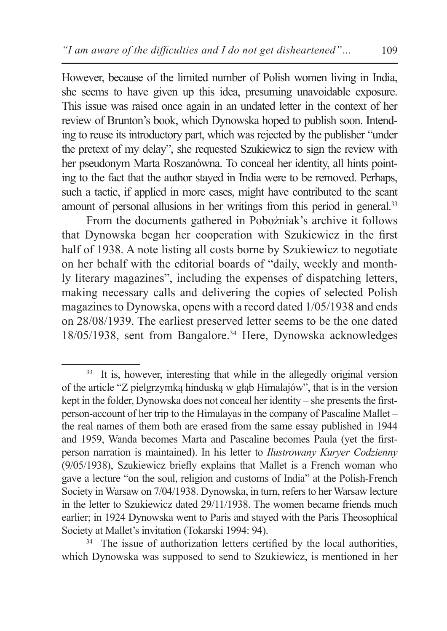However, because of the limited number of Polish women living in India, she seems to have given up this idea, presuming unavoidable exposure. This issue was raised once again in an undated letter in the context of her review of Brunton's book, which Dynowska hoped to publish soon. Intending to reuse its introductory part, which was rejected by the publisher "under the pretext of my delay", she requested Szukiewicz to sign the review with her pseudonym Marta Roszanówna. To conceal her identity, all hints pointing to the fact that the author stayed in India were to be removed. Perhaps, such a tactic, if applied in more cases, might have contributed to the scant amount of personal allusions in her writings from this period in general.<sup>33</sup>

From the documents gathered in Pobożniak's archive it follows that Dynowska began her cooperation with Szukiewicz in the first half of 1938. A note listing all costs borne by Szukiewicz to negotiate on her behalf with the editorial boards of "daily, weekly and monthly literary magazines", including the expenses of dispatching letters, making necessary calls and delivering the copies of selected Polish magazines to Dynowska, opens with a record dated 1/05/1938 and ends on 28/08/1939. The earliest preserved letter seems to be the one dated 18/05/1938, sent from Bangalore.<sup>34</sup> Here, Dynowska acknowledges

<sup>&</sup>lt;sup>33</sup> It is, however, interesting that while in the allegedly original version of the article "Z pielgrzymką hinduską w głąb Himalajów", that is in the version kept in the folder, Dynowska does not conceal her identity – she presents the firstperson-account of her trip to the Himalayas in the company of Pascaline Mallet – the real names of them both are erased from the same essay published in 1944 and 1959, Wanda becomes Marta and Pascaline becomes Paula (yet the firstperson narration is maintained). In his letter to *Ilustrowany Kuryer Codzienny*  (9/05/1938), Szukiewicz briefly explains that Mallet is a French woman who gave a lecture "on the soul, religion and customs of India" at the Polish-French Society in Warsaw on 7/04/1938. Dynowska, in turn, refersto her Warsaw lecture in the letter to Szukiewicz dated 29/11/1938. The women became friends much earlier; in 1924 Dynowska went to Paris and stayed with the Paris Theosophical Society at Mallet's invitation (Tokarski 1994: 94).

<sup>&</sup>lt;sup>34</sup> The issue of authorization letters certified by the local authorities, which Dynowska was supposed to send to Szukiewicz, is mentioned in her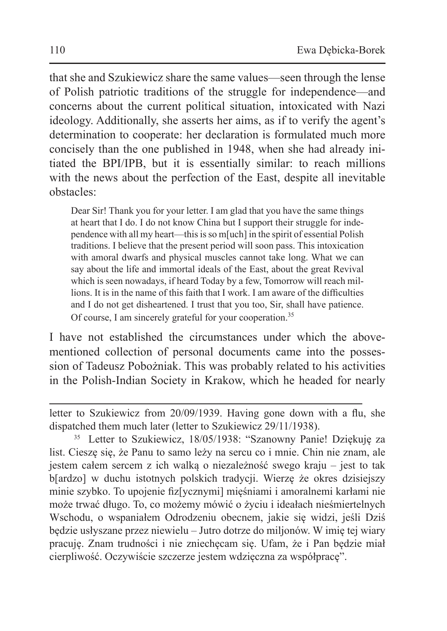that she and Szukiewicz share the same values—seen through the lense of Polish patriotic traditions of the struggle for independence—and concerns about the current political situation, intoxicated with Nazi ideology. Additionally, she asserts her aims, as if to verify the agent's determination to cooperate: her declaration is formulated much more concisely than the one published in 1948, when she had already initiated the BPI/IPB, but it is essentially similar: to reach millions with the news about the perfection of the East, despite all inevitable obstacles:

Dear Sir! Thank you for your letter. I am glad that you have the same things at heart that I do. I do not know China but I support their struggle for independence with all my heart—thisisso m[uch] in the spirit of essential Polish traditions. I believe that the present period will soon pass. This intoxication with amoral dwarfs and physical muscles cannot take long. What we can say about the life and immortal ideals of the East, about the great Revival which is seen nowadays, if heard Today by a few, Tomorrow will reach millions. It is in the name of this faith that I work. I am aware of the difficulties and I do not get disheartened. I trust that you too, Sir, shall have patience. Of course, I am sincerely grateful for your cooperation.<sup>35</sup>

I have not established the circumstances under which the abovementioned collection of personal documents came into the possession of Tadeusz Pobożniak. This was probably related to his activities in the Polish-Indian Society in Krakow, which he headed for nearly

letter to Szukiewicz from 20/09/1939. Having gone down with a flu, she dispatched them much later (letter to Szukiewicz 29/11/1938).

<sup>35</sup> Letter to Szukiewicz, 18/05/1938: "Szanowny Panie! Dziękuję za list. Cieszę się, że Panu to samo leży na sercu co i mnie. Chin nie znam, ale jestem całem sercem z ich walką o niezależność swego kraju – jest to tak b[ardzo] w duchu istotnych polskich tradycji. Wierzę że okres dzisiejszy minie szybko. To upojenie fiz[ycznymi] mięśniami i amoralnemi karłami nie może trwać długo. To, co możemy mówić o życiu i ideałach nieśmiertelnych Wschodu, o wspaniałem Odrodzeniu obecnem, jakie się widzi, jeśli Dziś będzie usłyszane przez niewielu – Jutro dotrze do miljonów. W imię tej wiary pracuję. Znam trudności i nie zniechęcam się. Ufam, że i Pan będzie miał cierpliwość. Oczywiście szczerze jestem wdzięczna za współpracę".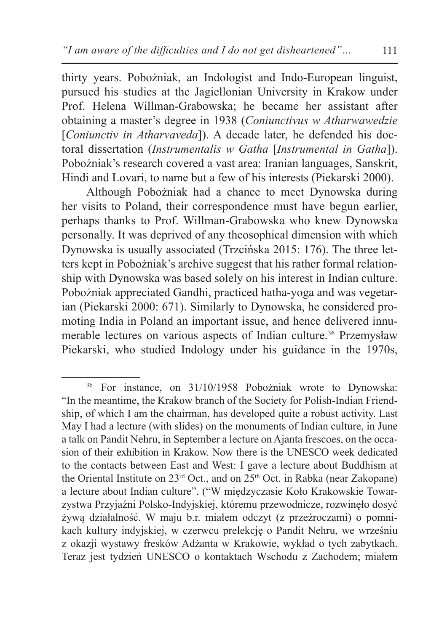thirty years. Pobożniak, an Indologist and Indo-European linguist, pursued his studies at the Jagiellonian University in Krakow under Prof. Helena Willman-Grabowska; he became her assistant after obtaining a master's degree in 1938 (*Coniunctivus w Atharwawedzie*  [*Coniunctiv in Atharvaveda*]). A decade later, he defended his doctoral dissertation (*Instrumentalis w Gatha* [*Instrumental in Gatha*]). Pobożniak's research covered a vast area: Iranian languages, Sanskrit, Hindi and Lovari, to name but a few of his interests (Piekarski 2000).

Although Pobożniak had a chance to meet Dynowska during her visits to Poland, their correspondence must have begun earlier, perhaps thanks to Prof. Willman-Grabowska who knew Dynowska personally. It was deprived of any theosophical dimension with which Dynowska is usually associated (Trzcińska 2015: 176). The three letters kept in Pobożniak's archive suggest that his rather formal relationship with Dynowska was based solely on his interest in Indian culture. Pobożniak appreciated Gandhi, practiced hatha-yoga and was vegetarian (Piekarski 2000: 671). Similarly to Dynowska, he considered promoting India in Poland an important issue, and hence delivered innumerable lectures on various aspects of Indian culture.<sup>36</sup> Przemysław Piekarski, who studied Indology under his guidance in the 1970s,

<sup>36</sup> For instance, on 31/10/1958 Pobożniak wrote to Dynowska: "In the meantime, the Krakow branch of the Society for Polish-Indian Friendship, of which I am the chairman, has developed quite a robust activity. Last May I had a lecture (with slides) on the monuments of Indian culture, in June a talk on Pandit Nehru, in September a lecture on Ajanta frescoes, on the occasion of their exhibition in Krakow. Now there is the UNESCO week dedicated to the contacts between East and West: I gave a lecture about Buddhism at the Oriental Institute on  $23<sup>rd</sup>$  Oct., and on  $25<sup>th</sup>$  Oct. in Rabka (near Zakopane) a lecture about Indian culture". ("W międzyczasie Koło Krakowskie Towarzystwa Przyjaźni Polsko-Indyjskiej, któremu przewodnicze, rozwinęło dosyć żywą działalność. W maju b.r. miałem odczyt (z przeźroczami) o pomnikach kultury indyjskiej, w czerwcu prelekcję o Pandit Nehru, we wrześniu z okazji wystawy fresków Adżanta w Krakowie, wykład o tych zabytkach. Teraz jest tydzień UNESCO o kontaktach Wschodu z Zachodem; miałem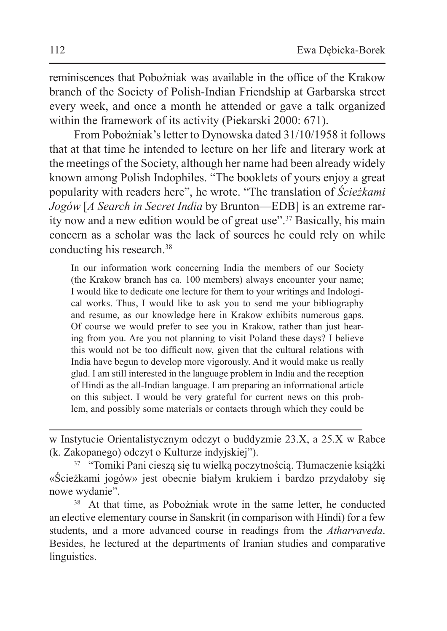reminiscences that Pobożniak was available in the office of the Krakow branch of the Society of Polish-Indian Friendship at Garbarska street every week, and once a month he attended or gave a talk organized within the framework of its activity (Piekarski 2000: 671).

From Pobożniak's letter to Dynowska dated 31/10/1958 it follows that at that time he intended to lecture on her life and literary work at the meetings of the Society, although her name had been already widely known among Polish Indophiles. "The booklets of yours enjoy a great popularity with readers here", he wrote. "The translation of *Ścieżkami Jogów* [*A Search in Secret India* by Brunton—EDB] is an extreme rarity now and a new edition would be of great use".<sup>37</sup> Basically, his main concern as a scholar was the lack of sources he could rely on while conducting his research.<sup>38</sup>

In our information work concerning India the members of our Society (the Krakow branch has ca. 100 members) always encounter your name; I would like to dedicate one lecture for them to your writings and Indological works. Thus, I would like to ask you to send me your bibliography and resume, as our knowledge here in Krakow exhibits numerous gaps. Of course we would prefer to see you in Krakow, rather than just hearing from you. Are you not planning to visit Poland these days? I believe this would not be too difficult now, given that the cultural relations with India have begun to develop more vigorously. And it would make us really glad. I am still interested in the language problem in India and the reception of Hindi as the all-Indian language. I am preparing an informational article on this subject. I would be very grateful for current news on this problem, and possibly some materials or contacts through which they could be

At that time, as Pobożniak wrote in the same letter, he conducted an elective elementary course in Sanskrit (in comparison with Hindi) for a few students, and a more advanced course in readings from the *Atharvaveda*. Besides, he lectured at the departments of Iranian studies and comparative linguistics.

w Instytucie Orientalistycznym odczyt o buddyzmie 23.X, a 25.X w Rabce (k. Zakopanego) odczyt o Kulturze indyjskiej").

<sup>37</sup> "Tomiki Pani cieszą się tu wielką poczytnością. Tłumaczenie książki «Ścieżkami jogów» jest obecnie białym krukiem i bardzo przydałoby się nowe wydanie".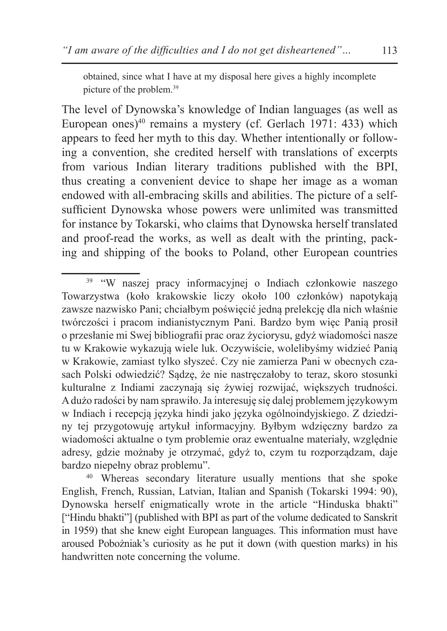obtained, since what I have at my disposal here gives a highly incomplete picture of the problem.39

The level of Dynowska's knowledge of Indian languages (as well as European ones)<sup>40</sup> remains a mystery (cf. Gerlach 1971: 433) which appears to feed her myth to this day. Whether intentionally or following a convention, she credited herself with translations of excerpts from various Indian literary traditions published with the BPI, thus creating a convenient device to shape her image as a woman endowed with all-embracing skills and abilities. The picture of a selfsufficient Dynowska whose powers were unlimited was transmitted for instance by Tokarski, who claims that Dynowska herself translated and proof-read the works, as well as dealt with the printing, packing and shipping of the books to Poland, other European countries

<sup>&</sup>lt;sup>39</sup> "W naszej pracy informacyjnej o Indiach członkowie naszego Towarzystwa (koło krakowskie liczy około 100 członków) napotykają zawsze nazwisko Pani; chciałbym poświęcić jedną prelekcję dla nich właśnie twórczości i pracom indianistycznym Pani. Bardzo bym więc Panią prosił o przesłanie mi Swej bibliografii prac oraz życiorysu, gdyż wiadomości nasze tu w Krakowie wykazują wiele luk. Oczywiście, wolelibyśmy widzieć Panią w Krakowie, zamiast tylko słyszeć. Czy nie zamierza Pani w obecnych czasach Polski odwiedzić? Sądzę, że nie nastręczałoby to teraz, skoro stosunki kulturalne z Indiami zaczynają się żywiej rozwijać, większych trudności. A dużo radości by nam sprawiło.Ja interesuję się dalej problemem językowym w Indiach i recepcją języka hindi jako języka ogólnoindyjskiego. Z dziedziny tej przygotowuję artykuł informacyjny. Byłbym wdzięczny bardzo za wiadomości aktualne o tym problemie oraz ewentualne materiały, względnie adresy, gdzie możnaby je otrzymać, gdyż to, czym tu rozporządzam, daje bardzo niepełny obraz problemu".

<sup>40</sup> Whereas secondary literature usually mentions that she spoke English, French, Russian, Latvian, Italian and Spanish (Tokarski 1994: 90), Dynowska herself enigmatically wrote in the article "Hinduska bhakti" ["Hindu bhakti"] (published with BPI as part of the volume dedicated to Sanskrit in 1959) that she knew eight European languages. This information must have aroused Pobożniak's curiosity as he put it down (with question marks) in his handwritten note concerning the volume.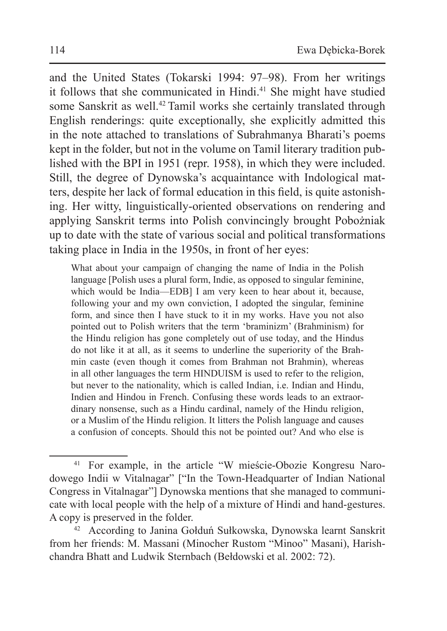and the United States (Tokarski 1994: 97–98). From her writings it follows that she communicated in Hindi.<sup>41</sup> She might have studied some Sanskrit as well.<sup>42</sup> Tamil works she certainly translated through English renderings: quite exceptionally, she explicitly admitted this in the note attached to translations of Subrahmanya Bharati's poems kept in the folder, but not in the volume on Tamil literary tradition published with the BPI in 1951 (repr. 1958), in which they were included. Still, the degree of Dynowska's acquaintance with Indological matters, despite her lack of formal education in this field, is quite astonishing. Her witty, linguistically-oriented observations on rendering and applying Sanskrit terms into Polish convincingly brought Pobożniak up to date with the state of various social and political transformations taking place in India in the 1950s, in front of her eyes:

What about your campaign of changing the name of India in the Polish language [Polish uses a plural form, Indie, as opposed to singular feminine, which would be India—EDB1 I am very keen to hear about it, because, following your and my own conviction, I adopted the singular, feminine form, and since then I have stuck to it in my works. Have you not also pointed out to Polish writers that the term 'braminizm' (Brahminism) for the Hindu religion has gone completely out of use today, and the Hindus do not like it at all, as it seems to underline the superiority of the Brahmin caste (even though it comes from Brahman not Brahmin), whereas in all other languages the term HINDUISM is used to refer to the religion, but never to the nationality, which is called Indian, i.e. Indian and Hindu, Indien and Hindou in French. Confusing these words leads to an extraordinary nonsense, such as a Hindu cardinal, namely of the Hindu religion, or a Muslim of the Hindu religion. It litters the Polish language and causes a confusion of concepts. Should this not be pointed out? And who else is

<sup>41</sup> For example, in the article "W mieście-Obozie Kongresu Narodowego Indii w Vitalnagar" ["In the Town-Headquarter of Indian National Congress in Vitalnagar"] Dynowska mentions that she managed to communicate with local people with the help of a mixture of Hindi and hand-gestures. A copy is preserved in the folder.

<sup>42</sup> According to Janina Gołduń Sułkowska, Dynowska learnt Sanskrit from her friends: M. Massani (Minocher Rustom "Minoo" Masani), Harishchandra Bhatt and Ludwik Sternbach (Bełdowski et al. 2002: 72).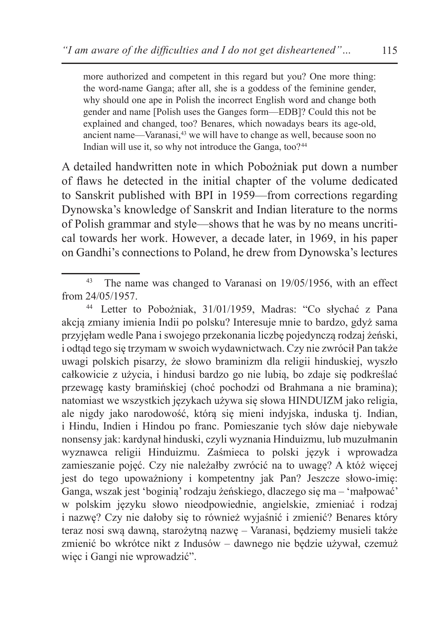more authorized and competent in this regard but you? One more thing: the word-name Ganga; after all, she is a goddess of the feminine gender, why should one ape in Polish the incorrect English word and change both gender and name [Polish uses the Ganges form—EDB]? Could this not be explained and changed, too? Benares, which nowadays bears its age-old, ancient name—Varanasi,<sup>43</sup> we will have to change as well, because soon no Indian will use it, so why not introduce the Ganga, too?<sup>44</sup>

A detailed handwritten note in which Pobożniak put down a number of flaws he detected in the initial chapter of the volume dedicated to Sanskrit published with BPI in 1959—from corrections regarding Dynowska's knowledge of Sanskrit and Indian literature to the norms of Polish grammar and style—shows that he was by no means uncritical towards her work. However, a decade later, in 1969, in his paper on Gandhi's connections to Poland, he drew from Dynowska's lectures

<sup>43</sup> The name was changed to Varanasi on 19/05/1956, with an effect from 24/05/1957. 44 Letter to Pobożniak, 31/01/1959, Madras: "Co słychać <sup>z</sup> Pana

akcją zmiany imienia Indii po polsku? Interesuje mnie to bardzo, gdyż sama przyjęłam wedle Pana i swojego przekonania liczbę pojedynczą rodzaj żeński, i odtąd tego się trzymam w swoich wydawnictwach. Czy nie zwrócił Pan także uwagi polskich pisarzy, że słowo braminizm dla religii hinduskiej, wyszło całkowicie z użycia, i hindusi bardzo go nie lubią, bo zdaje się podkreślać przewagę kasty bramińskiej (choć pochodzi od Brahmana a nie bramina); natomiast we wszystkich językach używa się słowa HINDUIZM jako religia, ale nigdy jako narodowość, którą się mieni indyjska, induska tj. Indian, i Hindu, Indien i Hindou po franc. Pomieszanie tych słów daje niebywałe nonsensy jak: kardynał hinduski, czyli wyznania Hinduizmu, lub muzułmanin wyznawca religii Hinduizmu. Zaśmieca to polski język i wprowadza zamieszanie pojęć. Czy nie należałby zwrócić na to uwagę? A któż więcej jest do tego upoważniony i kompetentny jak Pan? Jeszcze słowo-imię: Ganga, wszak jest 'boginią'rodzaju żeńskiego, dlaczego się ma – 'małpować' w polskim języku słowo nieodpowiednie, angielskie, zmieniać i rodzaj i nazwę? Czy nie dałoby się to również wyjaśnić i zmienić? Benares który teraz nosi swą dawną, starożytną nazwę – Varanasi, będziemy musieli także zmienić bo wkrótce nikt z Indusów – dawnego nie będzie używał, czemuż więc i Gangi nie wprowadzić".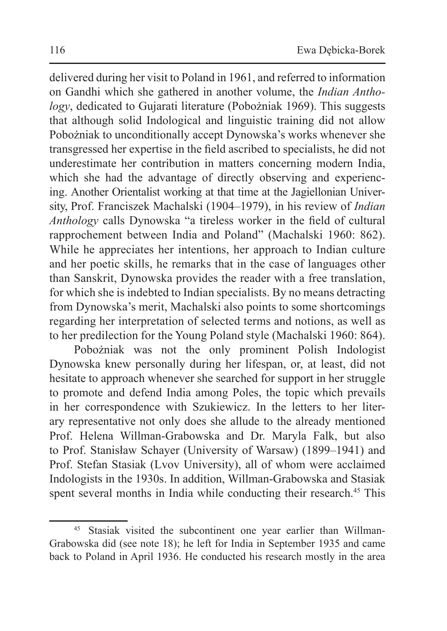delivered during her visit to Poland in 1961, and referred to information on Gandhi which she gathered in another volume, the *Indian Anthology*, dedicated to Gujarati literature (Pobożniak 1969). This suggests that although solid Indological and linguistic training did not allow Pobożniak to unconditionally accept Dynowska's works whenever she transgressed her expertise in the field ascribed to specialists, he did not underestimate her contribution in matters concerning modern India, which she had the advantage of directly observing and experiencing. Another Orientalist working at that time at the Jagiellonian University, Prof. Franciszek Machalski (1904–1979), in his review of *Indian Anthology* calls Dynowska "a tireless worker in the field of cultural rapprochement between India and Poland" (Machalski 1960: 862). While he appreciates her intentions, her approach to Indian culture and her poetic skills, he remarks that in the case of languages other than Sanskrit, Dynowska provides the reader with a free translation, for which she is indebted to Indian specialists. By no means detracting from Dynowska's merit, Machalski also points to some shortcomings regarding her interpretation of selected terms and notions, as well as to her predilection for the Young Poland style (Machalski 1960: 864).

Pobożniak was not the only prominent Polish Indologist Dynowska knew personally during her lifespan, or, at least, did not hesitate to approach whenever she searched for support in her struggle to promote and defend India among Poles, the topic which prevails in her correspondence with Szukiewicz. In the letters to her literary representative not only does she allude to the already mentioned Prof. Helena Willman-Grabowska and Dr. Maryla Falk, but also to Prof. Stanisław Schayer (University of Warsaw) (1899–1941) and Prof. Stefan Stasiak (Lvov University), all of whom were acclaimed Indologists in the 1930s. In addition, Willman-Grabowska and Stasiak spent several months in India while conducting their research.<sup>45</sup> This

<sup>45</sup> Stasiak visited the subcontinent one year earlier than Willman-Grabowska did (see note 18); he left for India in September 1935 and came back to Poland in April 1936. He conducted his research mostly in the area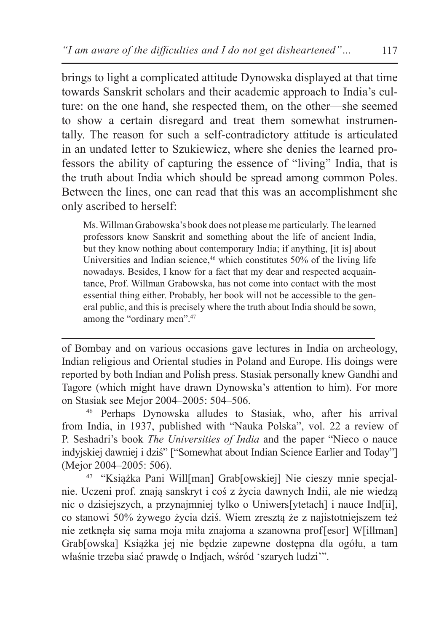brings to light a complicated attitude Dynowska displayed at that time towards Sanskrit scholars and their academic approach to India's culture: on the one hand, she respected them, on the other—she seemed to show a certain disregard and treat them somewhat instrumentally. The reason for such a self-contradictory attitude is articulated in an undated letter to Szukiewicz, where she denies the learned professors the ability of capturing the essence of "living" India, that is the truth about India which should be spread among common Poles. Between the lines, one can read that this was an accomplishment she only ascribed to herself:

Ms. Willman Grabowska's book does not please me particularly. The learned professors know Sanskrit and something about the life of ancient India, but they know nothing about contemporary India; if anything, [it is] about Universities and Indian science,<sup>46</sup> which constitutes 50% of the living life nowadays. Besides, I know for a fact that my dear and respected acquaintance, Prof. Willman Grabowska, has not come into contact with the most essential thing either. Probably, her book will not be accessible to the general public, and this is precisely where the truth about India should be sown, among the "ordinary men".<sup>47</sup>

of Bombay and on various occasions gave lectures in India on archeology, Indian religious and Oriental studies in Poland and Europe. His doings were reported by both Indian and Polish press. Stasiak personally knew Gandhi and Tagore (which might have drawn Dynowska's attention to him). For more on Stasiak see Mejor 2004–2005: 504–506.

<sup>46</sup> Perhaps Dynowska alludes to Stasiak, who, after his arrival from India, in 1937, published with "Nauka Polska", vol. 22 a review of P. Seshadri's book *The Universities of India* and the paper "Nieco o nauce indyjskiej dawniej i dziś" ["Somewhat about Indian Science Earlier and Today"] (Mejor 2004–2005: 506).

<sup>47</sup> "Książka Pani Will[man] Grab[owskiej] Nie cieszy mnie specjalnie. Uczeni prof. znają sanskryt i coś z życia dawnych Indii, ale nie wiedzą nic o dzisiejszych, a przynajmniej tylko o Uniwers[ytetach] i nauce Ind[ii], co stanowi 50% żywego życia dziś. Wiem zresztą że z najistotniejszem też nie zetknęła się sama moja miła znajoma a szanowna prof[esor] W[illman] Grab[owska] Książka jej nie będzie zapewne dostępna dla ogółu, a tam właśnie trzeba siać prawdę o Indjach, wśród 'szarych ludzi'".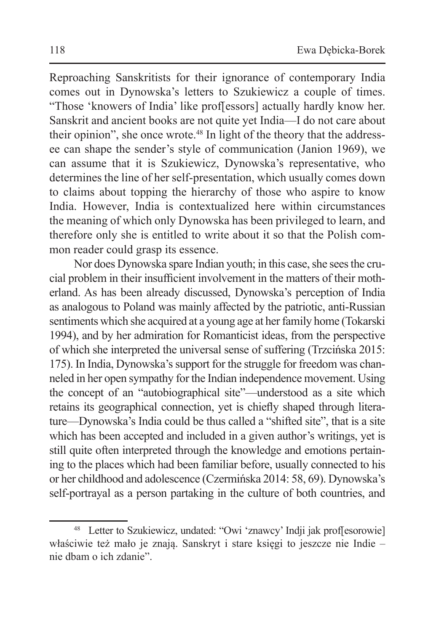Reproaching Sanskritists for their ignorance of contemporary India comes out in Dynowska's letters to Szukiewicz a couple of times. "Those 'knowers of India' like prof[essors] actually hardly know her. Sanskrit and ancient books are not quite yet India—I do not care about their opinion", she once wrote.48 In light of the theory that the addressee can shape the sender's style of communication (Janion 1969), we can assume that it is Szukiewicz, Dynowska's representative, who determines the line of her self-presentation, which usually comes down to claims about topping the hierarchy of those who aspire to know India. However, India is contextualized here within circumstances the meaning of which only Dynowska has been privileged to learn, and therefore only she is entitled to write about it so that the Polish common reader could grasp its essence.

Nor does Dynowska spare Indian youth; in this case, she sees the crucial problem in their insufficient involvement in the matters of their motherland. As has been already discussed, Dynowska's perception of India as analogous to Poland was mainly affected by the patriotic, anti-Russian sentiments which she acquired at a young age at her family home (Tokarski 1994), and by her admiration for Romanticist ideas, from the perspective of which she interpreted the universal sense of suffering (Trzcińska 2015: 175). In India, Dynowska's support for the struggle for freedom was channeled in her open sympathy for the Indian independence movement. Using the concept of an "autobiographical site"—understood as a site which retains its geographical connection, yet is chiefly shaped through literature—Dynowska's India could be thus called a "shifted site", that is a site which has been accepted and included in a given author's writings, yet is still quite often interpreted through the knowledge and emotions pertaining to the places which had been familiar before, usually connected to his or her childhood and adolescence (Czermińska 2014: 58, 69). Dynowska's self-portrayal as a person partaking in the culture of both countries, and

<sup>48</sup> Letter to Szukiewicz, undated: "Owi 'znawcy' Indji jak prof[esorowie] właściwie też mało je znają. Sanskryt i stare księgi to jeszcze nie Indie – nie dbam o ich zdanie".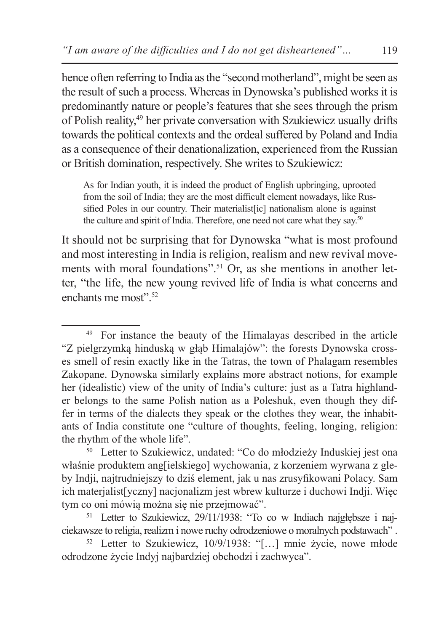hence often referring to India asthe "second motherland", might be seen as the result of such a process. Whereas in Dynowska's published works it is predominantly nature or people's features that she sees through the prism of Polish reality,49 her private conversation with Szukiewicz usually drifts towards the political contexts and the ordeal suffered by Poland and India as a consequence of their denationalization, experienced from the Russian or British domination, respectively. She writes to Szukiewicz:

As for Indian youth, it is indeed the product of English upbringing, uprooted from the soil of India; they are the most difficult element nowadays, like Russified Poles in our country. Their materialist[ic] nationalism alone is against the culture and spirit of India. Therefore, one need not care what they say.<sup>50</sup>

It should not be surprising that for Dynowska "what is most profound and most interesting in India is religion, realism and new revival movements with moral foundations".<sup>51</sup> Or, as she mentions in another letter, "the life, the new young revived life of India is what concerns and enchants me most"<sup>52</sup>

<sup>49</sup> For instance the beauty of the Himalayas described in the article "Z pielgrzymką hinduską w głąb Himalajów": the forests Dynowska crosses smell of resin exactly like in the Tatras, the town of Phalagam resembles Zakopane. Dynowska similarly explains more abstract notions, for example her (idealistic) view of the unity of India's culture: just as a Tatra highlander belongs to the same Polish nation as a Poleshuk, even though they differ in terms of the dialects they speak or the clothes they wear, the inhabitants of India constitute one "culture of thoughts, feeling, longing, religion: the rhythm of the whole life".

<sup>50</sup> Letter to Szukiewicz, undated: "Co do młodzieży Induskiej jest ona właśnie produktem ang[ielskiego] wychowania, z korzeniem wyrwana z gleby Indji, najtrudniejszy to dziś element, jak u nas zrusyfikowani Polacy. Sam ich materjalist[yczny] nacjonalizm jest wbrew kulturze i duchowi Indji. Więc tym co oni mówią można się nie przejmować".

<sup>51</sup> Letter to Szukiewicz, 29/11/1938: "To co w Indiach najgłębsze i najciekawsze to religia, realizm i nowe ruchy odrodzeniowe o moralnych podstawach" .

<sup>52</sup> Letter to Szukiewicz, 10/9/1938: "[…] mnie życie, nowe młode odrodzone życie Indyj najbardziej obchodzi i zachwyca".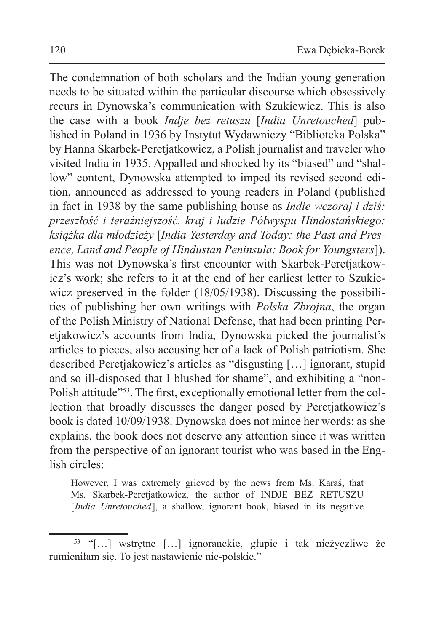The condemnation of both scholars and the Indian young generation needs to be situated within the particular discourse which obsessively recurs in Dynowska's communication with Szukiewicz. This is also the case with a book *Indje bez retuszu* [*India Unretouched*] published in Poland in 1936 by Instytut Wydawniczy "Biblioteka Polska" by Hanna Skarbek-Peretjatkowicz, a Polish journalist and traveler who visited India in 1935. Appalled and shocked by its "biased" and "shallow" content, Dynowska attempted to imped its revised second edition, announced as addressed to young readers in Poland (published in fact in 1938 by the same publishing house as *Indie wczoraj i dziś: przeszłość i teraźniejszość, kraj i ludzie Półwyspu Hindostańskiego: książka dla młodzieży* [*India Yesterday and Today: the Past and Presence, Land and People of Hindustan Peninsula: Book for Youngsters*]). This was not Dynowska's first encounter with Skarbek-Peretjatkowicz's work; she refers to it at the end of her earliest letter to Szukiewicz preserved in the folder (18/05/1938). Discussing the possibilities of publishing her own writings with *Polska Zbrojna*, the organ of the Polish Ministry of National Defense, that had been printing Peretjakowicz's accounts from India, Dynowska picked the journalist's articles to pieces, also accusing her of a lack of Polish patriotism. She described Peretjakowicz's articles as "disgusting […] ignorant, stupid and so ill-disposed that I blushed for shame", and exhibiting a "non-Polish attitude"<sup>53</sup>. The first, exceptionally emotional letter from the collection that broadly discusses the danger posed by Peretjatkowicz's book is dated 10/09/1938. Dynowska does not mince her words: as she explains, the book does not deserve any attention since it was written from the perspective of an ignorant tourist who was based in the English circles:

However, I was extremely grieved by the news from Ms. Karaś, that Ms. Skarbek-Peretjatkowicz, the author of INDJE BEZ RETUSZU [*India Unretouched*], a shallow, ignorant book, biased in its negative

<sup>53</sup> "[…] wstrętne […] ignoranckie, głupie i tak nieżyczliwe że rumieniłam się. To jest nastawienie nie-polskie."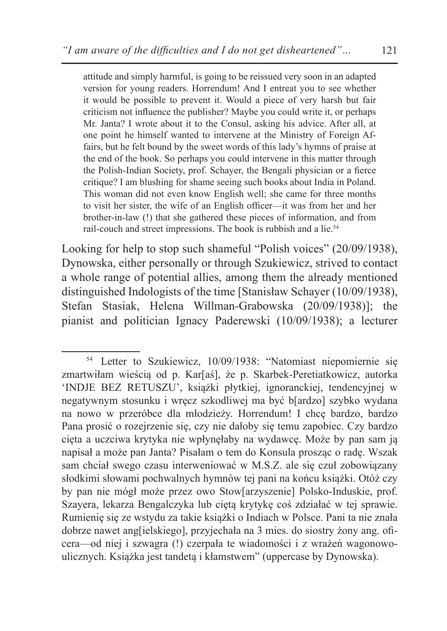attitude and simply harmful, is going to be reissued very soon in an adapted version for young readers. Horrendum! And I entreat you to see whether it would be possible to prevent it. Would a piece of very harsh but fair criticism not influence the publisher? Maybe you could write it, or perhaps Mr. Janta? I wrote about it to the Consul, asking his advice. After all, at one point he himself wanted to intervene at the Ministry of Foreign Affairs, but he felt bound by the sweet words of this lady's hymns of praise at the end of the book. So perhaps you could intervene in this matter through the Polish-Indian Society, prof. Schayer, the Bengali physician or a fierce critique? I am blushing for shame seeing such books about India in Poland. This woman did not even know English well; she came for three months to visit her sister, the wife of an English officer—it was from her and her brother-in-law (!) that she gathered these pieces of information, and from rail-couch and street impressions. The book is rubbish and a lie.<sup>54</sup>

Looking for help to stop such shameful "Polish voices" (20/09/1938), Dynowska, either personally or through Szukiewicz, strived to contact a whole range of potential allies, among them the already mentioned distinguished Indologists of the time [Stanisław Schayer (10/09/1938), Stefan Stasiak, Helena Willman-Grabowska (20/09/1938)]; the pianist and politician Ignacy Paderewski (10/09/1938); a lecturer

<sup>54</sup> Letter to Szukiewicz, 10/09/1938: "Natomiast niepomiernie się zmartwiłam wieścią od p. Kar[aś], że p. Skarbek-Peretiatkowicz, autorka 'INDJE BEZ RETUSZU', książki płytkiej, ignoranckiej, tendencyjnej w negatywnym stosunku i wręcz szkodliwej ma być b[ardzo] szybko wydana na nowo w przeróbce dla młodzieży. Horrendum! I chcę bardzo, bardzo Pana prosić o rozejrzenie się, czy nie dałoby się temu zapobiec. Czy bardzo cięta a uczciwa krytyka nie wpłynęłaby na wydawcę. Może by pan sam ją napisał a może pan Janta? Pisałam o tem do Konsula prosząc o radę. Wszak sam chciał swego czasu interweniować w M.S.Z. ale się czuł zobowiązany słodkimi słowami pochwalnych hymnów tej pani na końcu książki. Otóż czy by pan nie mógł może przez owo Stow[arzyszenie] Polsko-Induskie, prof. Szayera, lekarza Bengalczyka lub ciętą krytykę coś zdziałać w tej sprawie. Rumienię się ze wstydu za takie książki o Indiach w Polsce. Pani ta nie znała dobrze nawet ang[ielskiego], przyjechała na 3 mies. do siostry żony ang. oficera—od niej i szwagra (!) czerpała te wiadomości i z wrażeń wagonowoulicznych. Książka jest tandetą i kłamstwem" (uppercase by Dynowska).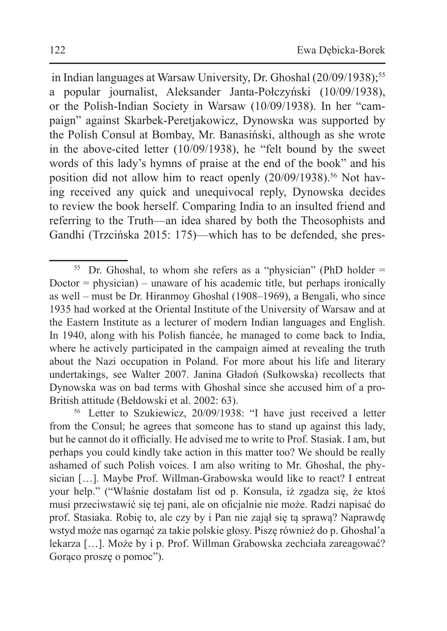in Indian languages at Warsaw University, Dr. Ghoshal (20/09/1938):<sup>55</sup> a popular journalist, Aleksander Janta-Połczyński (10/09/1938), or the Polish-Indian Society in Warsaw (10/09/1938). In her "campaign" against Skarbek-Peretjakowicz, Dynowska was supported by the Polish Consul at Bombay, Mr. Banasiński, although as she wrote in the above-cited letter (10/09/1938), he "felt bound by the sweet words of this lady's hymns of praise at the end of the book" and his position did not allow him to react openly  $(20/09/1938)$ .<sup>56</sup> Not having received any quick and unequivocal reply, Dynowska decides to review the book herself. Comparing India to an insulted friend and referring to the Truth—an idea shared by both the Theosophists and Gandhi (Trzcińska 2015: 175)—which has to be defended, she pres-

<sup>&</sup>lt;sup>55</sup> Dr. Ghoshal, to whom she refers as a "physician" (PhD holder = Doctor  $=$  physician) – unaware of his academic title, but perhaps ironically as well – must be Dr. Hiranmoy Ghoshal (1908–1969), a Bengali, who since 1935 had worked at the Oriental Institute of the University of Warsaw and at the Eastern Institute as a lecturer of modern Indian languages and English. In 1940, along with his Polish fiancée, he managed to come back to India, where he actively participated in the campaign aimed at revealing the truth about the Nazi occupation in Poland. For more about his life and literary undertakings, see Walter 2007. Janina Gładoń (Sułkowska) recollects that Dynowska was on bad terms with Ghoshal since she accused him of a pro-British attitude (Bełdowski et al. 2002: 63).

<sup>&</sup>lt;sup>56</sup> Letter to Szukiewicz, 20/09/1938: "I have just received a letter from the Consul; he agrees that someone has to stand up against this lady, but he cannot do it officially. He advised me to write to Prof. Stasiak. I am, but perhaps you could kindly take action in this matter too? We should be really ashamed of such Polish voices. I am also writing to Mr. Ghoshal, the physician […]. Maybe Prof. Willman-Grabowska would like to react? I entreat your help." ("Właśnie dostałam list od p. Konsula, iż zgadza się, że ktoś musi przeciwstawić się tej pani, ale on oficjalnie nie może. Radzi napisać do prof. Stasiaka. Robię to, ale czy by i Pan nie zajął się tą sprawą? Naprawdę wstyd może nas ogarnąć za takie polskie głosy. Piszę również do p. Ghoshal'a lekarza […]. Może by i p. Prof. Willman Grabowska zechciała zareagować? Gorąco proszę o pomoc").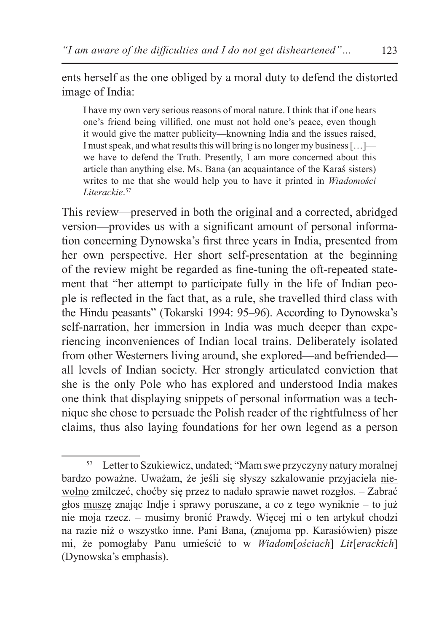ents herself as the one obliged by a moral duty to defend the distorted image of India:

I have my own very serious reasons of moral nature. I think that if one hears one's friend being villified, one must not hold one's peace, even though it would give the matter publicity—knowning India and the issues raised, I must speak, and what results this will bring is no longer my business [...] we have to defend the Truth. Presently, I am more concerned about this article than anything else. Ms. Bana (an acquaintance of the Karaś sisters) writes to me that she would help you to have it printed in *Wiadomości Literackie*. 57

This review—preserved in both the original and a corrected, abridged version—provides us with a significant amount of personal information concerning Dynowska's first three years in India, presented from her own perspective. Her short self-presentation at the beginning of the review might be regarded as fine-tuning the oft-repeated statement that "her attempt to participate fully in the life of Indian people is reflected in the fact that, as a rule, she travelled third class with the Hindu peasants" (Tokarski 1994: 95–96). According to Dynowska's self-narration, her immersion in India was much deeper than experiencing inconveniences of Indian local trains. Deliberately isolated from other Westerners living around, she explored—and befriended all levels of Indian society. Her strongly articulated conviction that she is the only Pole who has explored and understood India makes one think that displaying snippets of personal information was a technique she chose to persuade the Polish reader of the rightfulness of her claims, thus also laying foundations for her own legend as a person

<sup>&</sup>lt;sup>57</sup> Letter to Szukiewicz, undated; "Mam swe przyczyny natury moralnej bardzo poważne. Uważam, że jeśli się słyszy szkalowanie przyjaciela niewolno zmilczeć, choćby się przez to nadało sprawie nawet rozgłos. – Zabrać głos muszę znając Indje i sprawy poruszane, a co z tego wyniknie – to już nie moja rzecz. – musimy bronić Prawdy. Więcej mi o ten artykuł chodzi na razie niż o wszystko inne. Pani Bana, (znajoma pp. Karasiówien) pisze mi, że pomogłaby Panu umieścić to w *Wiadom*[*ościach*] *Lit*[*erackich*] (Dynowska's emphasis).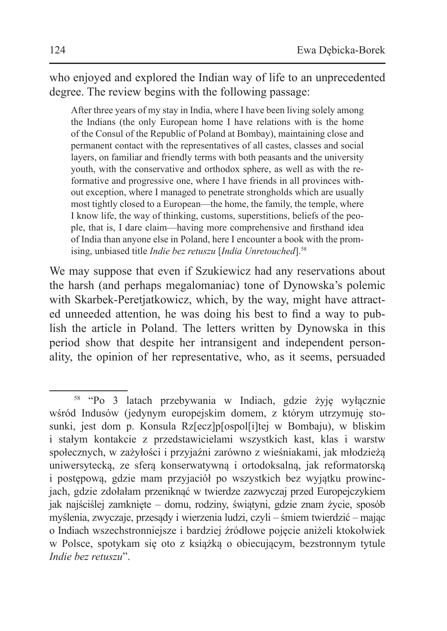who enjoyed and explored the Indian way of life to an unprecedented degree. The review begins with the following passage:

After three years of my stay in India, where I have been living solely among the Indians (the only European home I have relations with is the home of the Consul of the Republic of Poland at Bombay), maintaining close and permanent contact with the representatives of all castes, classes and social layers, on familiar and friendly terms with both peasants and the university youth, with the conservative and orthodox sphere, as well as with the reformative and progressive one, where I have friends in all provinces without exception, where I managed to penetrate strongholds which are usually most tightly closed to a European—the home, the family, the temple, where I know life, the way of thinking, customs, superstitions, beliefs of the people, that is, I dare claim—having more comprehensive and firsthand idea of India than anyone else in Poland, here I encounter a book with the promising, unbiased title *Indie bez retuszu [India Unretouched*].<sup>58</sup>

We may suppose that even if Szukiewicz had any reservations about the harsh (and perhaps megalomaniac) tone of Dynowska's polemic with Skarbek-Peretjatkowicz, which, by the way, might have attracted unneeded attention, he was doing his best to find a way to publish the article in Poland. The letters written by Dynowska in this period show that despite her intransigent and independent personality, the opinion of her representative, who, as it seems, persuaded

<sup>58</sup> "Po 3 latach przebywania w Indiach, gdzie żyję wyłącznie wśród Indusów (jedynym europejskim domem, z którym utrzymuję stosunki, jest dom p. Konsula Rz[ecz]p[ospol[i]tej w Bombaju), w bliskim i stałym kontakcie z przedstawicielami wszystkich kast, klas i warstw społecznych, w zażyłości i przyjaźni zarówno z wieśniakami, jak młodzieżą uniwersytecką, ze sferą konserwatywną i ortodoksalną, jak reformatorską i postępową, gdzie mam przyjaciół po wszystkich bez wyjątku prowincjach, gdzie zdołałam przeniknąć w twierdze zazwyczaj przed Europejczykiem jak najściślej zamknięte – domu, rodziny, świątyni, gdzie znam życie, sposób myślenia, zwyczaje, przesądy i wierzenia ludzi, czyli – śmiem twierdzić – mając o Indiach wszechstronniejsze i bardziej źródłowe pojęcie aniżeli ktokolwiek w Polsce, spotykam się oto z książką o obiecującym, bezstronnym tytule *Indie bez retuszu*".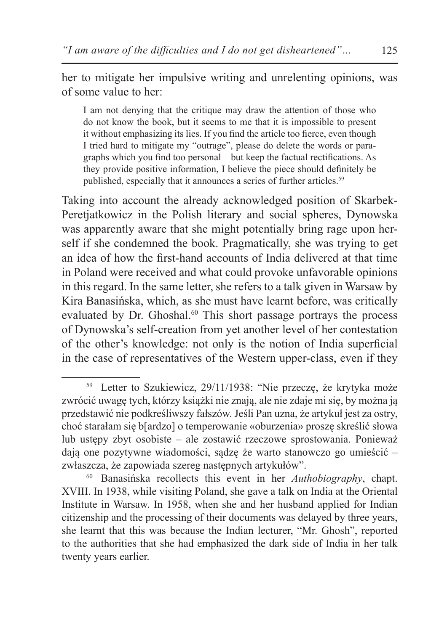her to mitigate her impulsive writing and unrelenting opinions, was of some value to her:

I am not denying that the critique may draw the attention of those who do not know the book, but it seems to me that it is impossible to present it without emphasizing its lies. If you find the article too fierce, even though I tried hard to mitigate my "outrage", please do delete the words or paragraphs which you find too personal—but keep the factual rectifications. As they provide positive information, I believe the piece should definitely be published, especially that it announces a series of further articles.<sup>59</sup>

Taking into account the already acknowledged position of Skarbek-Peretjatkowicz in the Polish literary and social spheres, Dynowska was apparently aware that she might potentially bring rage upon herself if she condemned the book. Pragmatically, she was trying to get an idea of how the first-hand accounts of India delivered at that time in Poland were received and what could provoke unfavorable opinions in this regard. In the same letter, she refers to a talk given in Warsaw by Kira Banasińska, which, as she must have learnt before, was critically evaluated by Dr. Ghoshal.<sup>60</sup> This short passage portrays the process of Dynowska's self-creation from yet another level of her contestation of the other's knowledge: not only is the notion of India superficial in the case of representatives of the Western upper-class, even if they

<sup>59</sup> Letter to Szukiewicz, 29/11/1938: "Nie przeczę, że krytyka może zwrócić uwagę tych, którzy książki nie znają, ale nie zdaje mi się, by można ją przedstawić nie podkreśliwszy fałszów. Jeśli Pan uzna, że artykuł jest za ostry, choć starałam się b[ardzo] o temperowanie «oburzenia» proszę skreślić słowa lub ustępy zbyt osobiste – ale zostawić rzeczowe sprostowania. Ponieważ dają one pozytywne wiadomości, sądzę że warto stanowczo go umieścić – zwłaszcza, że zapowiada szereg następnych artykułów".

<sup>60</sup> Banasińska recollects this event in her *Authobiography*, chapt. XVIII. In 1938, while visiting Poland, she gave a talk on India at the Oriental Institute in Warsaw. In 1958, when she and her husband applied for Indian citizenship and the processing of their documents was delayed by three years, she learnt that this was because the Indian lecturer, "Mr. Ghosh", reported to the authorities that she had emphasized the dark side of India in her talk twenty years earlier.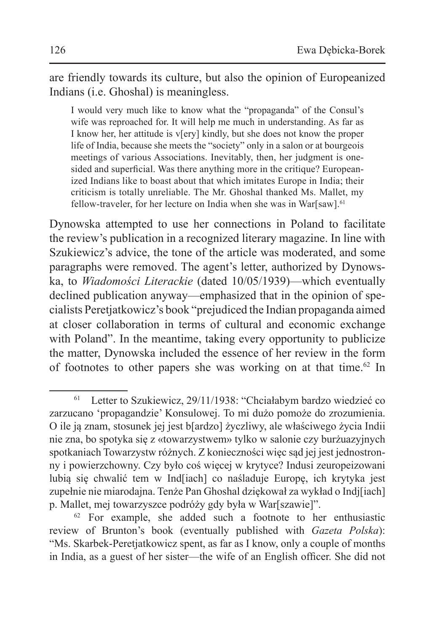are friendly towards its culture, but also the opinion of Europeanized Indians (i.e. Ghoshal) is meaningless.

I would very much like to know what the "propaganda" of the Consul's wife was reproached for. It will help me much in understanding. As far as I know her, her attitude is v[ery] kindly, but she does not know the proper life of India, because she meets the "society" only in a salon or at bourgeois meetings of various Associations. Inevitably, then, her judgment is onesided and superficial. Was there anything more in the critique? Europeanized Indians like to boast about that which imitates Europe in India; their criticism is totally unreliable. The Mr. Ghoshal thanked Ms. Mallet, my fellow-traveler, for her lecture on India when she was in War[saw].<sup>61</sup>

Dynowska attempted to use her connections in Poland to facilitate the review's publication in a recognized literary magazine. In line with Szukiewicz's advice, the tone of the article was moderated, and some paragraphs were removed. The agent's letter, authorized by Dynowska, to *Wiadomości Literackie* (dated 10/05/1939)—which eventually declined publication anyway—emphasized that in the opinion of specialists Peretjatkowicz's book "prejudiced the Indian propaganda aimed at closer collaboration in terms of cultural and economic exchange with Poland". In the meantime, taking every opportunity to publicize the matter, Dynowska included the essence of her review in the form of footnotes to other papers she was working on at that time.<sup>62</sup> In

<sup>61</sup> Letter to Szukiewicz, 29/11/1938: "Chciałabym bardzo wiedzieć co zarzucano 'propagandzie' Konsulowej. To mi dużo pomoże do zrozumienia. O ile ją znam, stosunek jej jest b[ardzo] życzliwy, ale właściwego życia Indii nie zna, bo spotyka się z «towarzystwem» tylko w salonie czy burżuazyjnych spotkaniach Towarzystw różnych. Z konieczności więc sąd jej jest jednostronny i powierzchowny. Czy było coś więcej w krytyce? Indusi zeuropeizowani lubią się chwalić tem w Ind[iach] co naśladuje Europę, ich krytyka jest zupełnie nie miarodajna. Tenże Pan Ghoshal dziękował za wykład o Indj[iach] p. Mallet, mej towarzyszce podróży gdy była w War[szawie]".

<sup>62</sup> For example, she added such a footnote to her enthusiastic review of Brunton's book (eventually published with *Gazeta Polska*): "Ms. Skarbek-Peretjatkowicz spent, as far as I know, only a couple of months in India, as a guest of her sister—the wife of an English officer. She did not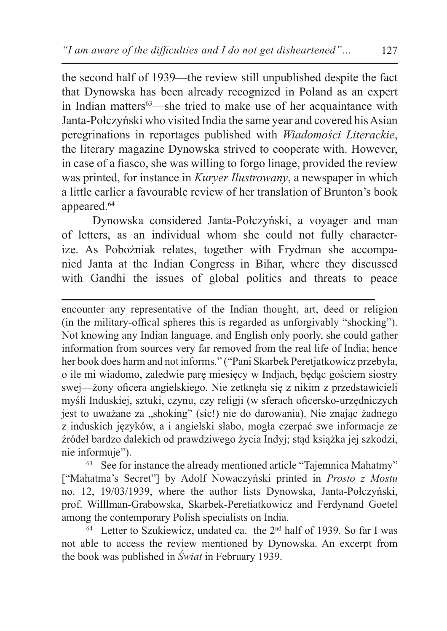the second half of 1939—the review still unpublished despite the fact that Dynowska has been already recognized in Poland as an expert in Indian matters<sup>63</sup>—she tried to make use of her acquaintance with Janta-Połczyński who visited India the same year and covered his Asian peregrinations in reportages published with *Wiadomości Literackie*, the literary magazine Dynowska strived to cooperate with. However, in case of a fiasco, she was willing to forgo linage, provided the review was printed, for instance in *Kuryer Ilustrowany*, a newspaper in which a little earlier a favourable review of her translation of Brunton's book appeared.<sup>64</sup>

Dynowska considered Janta-Połczyński, a voyager and man of letters, as an individual whom she could not fully characterize. As Pobożniak relates, together with Frydman she accompanied Janta at the Indian Congress in Bihar, where they discussed with Gandhi the issues of global politics and threats to peace

encounter any representative of the Indian thought, art, deed or religion (in the military-offical spheres this is regarded as unforgivably "shocking"). Not knowing any Indian language, and English only poorly, she could gather information from sources very far removed from the real life of India; hence her book does harm and not informs." ("Pani Skarbek Peretjatkowicz przebyła, o ile mi wiadomo, zaledwie parę miesięcy w Indjach, będąc gościem siostry swej—żony oficera angielskiego. Nie zetknęła się z nikim z przedstawicieli myśli Induskiej, sztuki, czynu, czy religji (w sferach oficersko-urzędniczych jest to uważane za "shoking" (sic!) nie do darowania). Nie znając żadnego z induskich języków, a i angielski słabo, mogła czerpać swe informacje ze źródeł bardzo dalekich od prawdziwego życia Indyj; stąd książka jej szkodzi, nie informuje").

<sup>63</sup> See for instance the already mentioned article "Tajemnica Mahatmy" ["Mahatma's Secret"] by Adolf Nowaczyński printed in *Prosto z Mostu* no. 12, 19/03/1939, where the author lists Dynowska, Janta-Połczyński, prof. Willlman-Grabowska, Skarbek-Peretiatkowicz and Ferdynand Goetel among the contemporary Polish specialists on India.<br><sup>64</sup> Letter to Szukiewicz, undated ca. the 2<sup>nd</sup> half of 1939. So far I was

not able to access the review mentioned by Dynowska. An excerpt from the book was published in *Świat* in February 1939.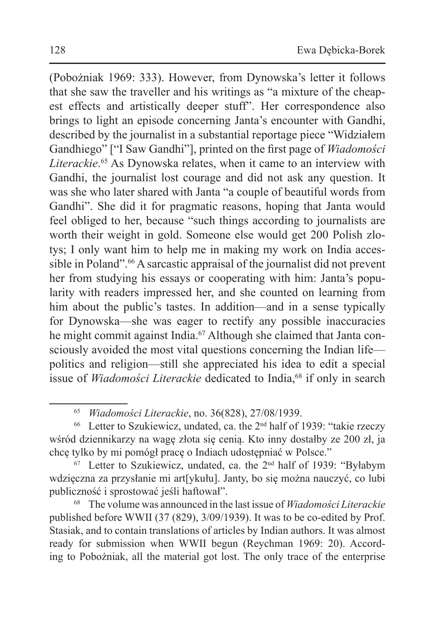(Pobożniak 1969: 333). However, from Dynowska's letter it follows that she saw the traveller and his writings as "a mixture of the cheapest effects and artistically deeper stuff". Her correspondence also brings to light an episode concerning Janta's encounter with Gandhi, described by the journalist in a substantial reportage piece "Widziałem Gandhiego" ["I Saw Gandhi"], printed on the first page of *Wiadomości Literackie*. <sup>65</sup> As Dynowska relates, when it came to an interview with Gandhi, the journalist lost courage and did not ask any question. It was she who later shared with Janta "a couple of beautiful words from Gandhi". She did it for pragmatic reasons, hoping that Janta would feel obliged to her, because "such things according to journalists are worth their weight in gold. Someone else would get 200 Polish zlotys; I only want him to help me in making my work on India accessible in Poland".<sup>66</sup> A sarcastic appraisal of the journalist did not prevent her from studying his essays or cooperating with him: Janta's popularity with readers impressed her, and she counted on learning from him about the public's tastes. In addition—and in a sense typically for Dynowska—she was eager to rectify any possible inaccuracies he might commit against India.<sup>67</sup> Although she claimed that Janta consciously avoided the most vital questions concerning the Indian life politics and religion—still she appreciated his idea to edit a special issue of *Wiadomości Literackie* dedicated to India,<sup>68</sup> if only in search

<sup>68</sup> The volume was announced in the last issue of *Wiadomości Literackie*  published before WWII (37 (829), 3/09/1939). It was to be co-edited by Prof. Stasiak, and to contain translations of articles by Indian authors. It was almost ready for submission when WWII begun (Reychman 1969: 20). According to Pobożniak, all the material got lost. The only trace of the enterprise

<sup>65</sup> *Wiadomości Literackie*, no. 36(828), 27/08/1939.

<sup>&</sup>lt;sup>66</sup> Letter to Szukiewicz, undated, ca. the  $2<sup>nd</sup>$  half of 1939: "takie rzeczy wśród dziennikarzy na wagę złota się cenią. Kto inny dostałby ze 200 zł, ja chcę tylko by mi pomógł pracę o Indiach udostępniać w Polsce."

 $67$  Letter to Szukiewicz, undated, ca. the  $2<sup>nd</sup>$  half of 1939: "Byłabym wdzięczna za przysłanie mi art[ykułu]. Janty, bo się można nauczyć, co lubi publiczność i sprostować jeśli haftował".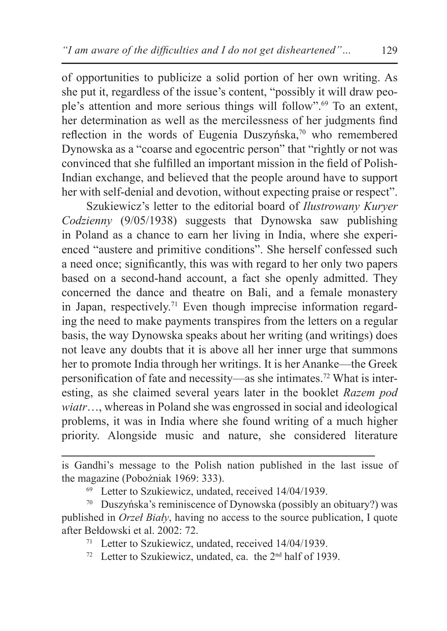of opportunities to publicize a solid portion of her own writing. As she put it, regardless of the issue's content, "possibly it will draw people's attention and more serious things will follow".<sup>69</sup> To an extent, her determination as well as the mercilessness of her judgments find reflection in the words of Eugenia Duszyńska,<sup>70</sup> who remembered Dynowska as a "coarse and egocentric person" that "rightly or not was convinced that she fulfilled an important mission in the field of Polish-Indian exchange, and believed that the people around have to support her with self-denial and devotion, without expecting praise or respect".

Szukiewicz's letter to the editorial board of *Ilustrowany Kuryer Codzienny* (9/05/1938) suggests that Dynowska saw publishing in Poland as a chance to earn her living in India, where she experienced "austere and primitive conditions". She herself confessed such a need once; significantly, this was with regard to her only two papers based on a second-hand account, a fact she openly admitted. They concerned the dance and theatre on Bali, and a female monastery in Japan, respectively.<sup>71</sup> Even though imprecise information regarding the need to make payments transpires from the letters on a regular basis, the way Dynowska speaks about her writing (and writings) does not leave any doubts that it is above all her inner urge that summons her to promote India through her writings. It is her Ananke—the Greek personification of fate and necessity—as she intimates.72 What is interesting, as she claimed several years later in the booklet *Razem pod wiatr*…, whereas in Poland she was engrossed in social and ideological problems, it was in India where she found writing of a much higher priority. Alongside music and nature, she considered literature

<sup>72</sup> Letter to Szukiewicz, undated, ca. the  $2<sup>nd</sup>$  half of 1939.

is Gandhi's message to the Polish nation published in the last issue of the magazine (Pobożniak 1969: 333).

<sup>69</sup> Letter to Szukiewicz, undated, received 14/04/1939.

<sup>70</sup> Duszyńska's reminiscence of Dynowska (possibly an obituary?) was published in *Orzeł Biały*, having no access to the source publication, I quote after Bełdowski et al. 2002: 72.

<sup>71</sup> Letter to Szukiewicz, undated, received 14/04/1939.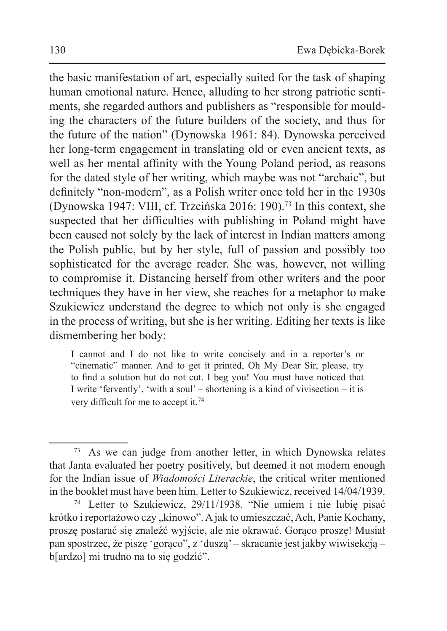the basic manifestation of art, especially suited for the task of shaping human emotional nature. Hence, alluding to her strong patriotic sentiments, she regarded authors and publishers as "responsible for moulding the characters of the future builders of the society, and thus for the future of the nation" (Dynowska 1961: 84). Dynowska perceived her long-term engagement in translating old or even ancient texts, as well as her mental affinity with the Young Poland period, as reasons for the dated style of her writing, which maybe was not "archaic", but definitely "non-modern", as a Polish writer once told her in the 1930s (Dynowska 1947: VIII, cf. Trzcińska 2016: 190).<sup>73</sup> In this context, she suspected that her difficulties with publishing in Poland might have been caused not solely by the lack of interest in Indian matters among the Polish public, but by her style, full of passion and possibly too sophisticated for the average reader. She was, however, not willing to compromise it. Distancing herself from other writers and the poor techniques they have in her view, she reaches for a metaphor to make Szukiewicz understand the degree to which not only is she engaged in the process of writing, but she is her writing. Editing her texts is like dismembering her body:

I cannot and I do not like to write concisely and in a reporter's or "cinematic" manner. And to get it printed, Oh My Dear Sir, please, try to find a solution but do not cut. I beg you! You must have noticed that I write 'fervently', 'with a soul' – shortening is a kind of vivisection – it is very difficult for me to accept it.<sup>74</sup>

<sup>73</sup> As we can judge from another letter, in which Dynowska relates that Janta evaluated her poetry positively, but deemed it not modern enough for the Indian issue of *Wiadomości Literackie*, the critical writer mentioned in the booklet must have been him. Letter to Szukiewicz, received 14/04/1939.

<sup>74</sup> Letter to Szukiewicz, 29/11/1938. "Nie umiem i nie lubię pisać krótko i reportażowo czy "kinowo". A jak to umieszczać, Ach, Panie Kochany, proszę postarać się znaleźć wyjście, ale nie okrawać. Gorąco proszę! Musiał pan spostrzec, że piszę 'gorąco", z 'duszą' – skracanie jest jakby wiwisekcją – b[ardzo] mi trudno na to się godzić".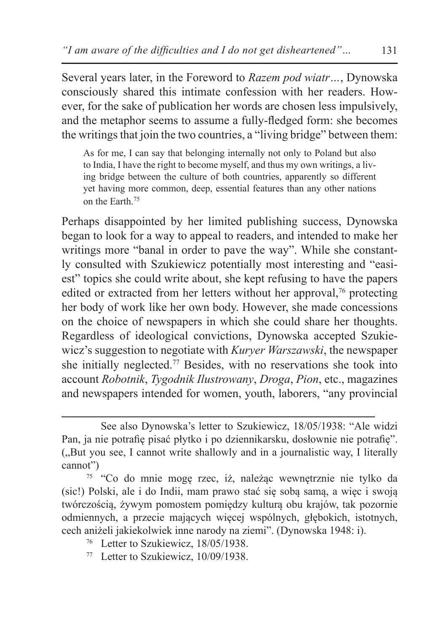Several years later, in the Foreword to *Razem pod wiatr…*, Dynowska consciously shared this intimate confession with her readers. However, for the sake of publication her words are chosen less impulsively, and the metaphor seems to assume a fully-fledged form: she becomes the writings that join the two countries, a "living bridge" between them:

As for me, I can say that belonging internally not only to Poland but also to India, I have the right to become myself, and thus my own writings, a living bridge between the culture of both countries, apparently so different yet having more common, deep, essential features than any other nations on the Earth<sup>75</sup>

Perhaps disappointed by her limited publishing success, Dynowska began to look for a way to appeal to readers, and intended to make her writings more "banal in order to pave the way". While she constantly consulted with Szukiewicz potentially most interesting and "easiest" topics she could write about, she kept refusing to have the papers edited or extracted from her letters without her approval, $\frac{7}{6}$  protecting her body of work like her own body. However, she made concessions on the choice of newspapers in which she could share her thoughts. Regardless of ideological convictions, Dynowska accepted Szukiewicz's suggestion to negotiate with *Kuryer Warszawski*, the newspaper she initially neglected.77 Besides, with no reservations she took into account *Robotnik*, *Tygodnik Ilustrowany*, *Droga*, *Pion*, etc., magazines and newspapers intended for women, youth, laborers, "any provincial

<sup>77</sup> Letter to Szukiewicz, 10/09/1938.

See also Dynowska's letter to Szukiewicz, 18/05/1938: "Ale widzi Pan, ja nie potrafię pisać płytko i po dziennikarsku, dosłownie nie potrafię". ("But you see, I cannot write shallowly and in a journalistic way, I literally cannot")

<sup>75</sup> "Co do mnie mogę rzec, iż, należąc wewnętrznie nie tylko da (sic!) Polski, ale i do Indii, mam prawo stać się sobą samą, a więc i swoją twórczością, żywym pomostem pomiędzy kulturą obu krajów, tak pozornie odmiennych, a przecie mających więcej wspólnych, głębokich, istotnych, cech aniżeli jakiekolwiek inne narody na ziemi". (Dynowska 1948: i).

<sup>76</sup> Letter to Szukiewicz, 18/05/1938.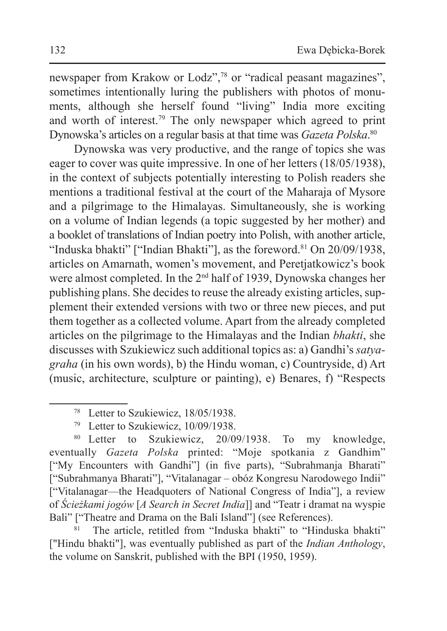newspaper from Krakow or Lodz",<sup>78</sup> or "radical peasant magazines", sometimes intentionally luring the publishers with photos of monuments, although she herself found "living" India more exciting and worth of interest.79 The only newspaper which agreed to print Dynowska's articles on a regular basis at that time was *Gazeta Polska*. 80

Dynowska was very productive, and the range of topics she was eager to cover was quite impressive. In one of her letters (18/05/1938), in the context of subjects potentially interesting to Polish readers she mentions a traditional festival at the court of the Maharaja of Mysore and a pilgrimage to the Himalayas. Simultaneously, she is working on a volume of Indian legends (a topic suggested by her mother) and a booklet of translations of Indian poetry into Polish, with another article, "Induska bhakti" ["Indian Bhakti"], as the foreword.<sup>81</sup> On 20/09/1938, articles on Amarnath, women's movement, and Peretjatkowicz's book were almost completed. In the 2nd half of 1939, Dynowska changes her publishing plans. She decides to reuse the already existing articles, supplement their extended versions with two or three new pieces, and put them together as a collected volume. Apart from the already completed articles on the pilgrimage to the Himalayas and the Indian *bhakti*, she discusses with Szukiewicz such additional topics as: a) Gandhi's *satyagraha* (in his own words), b) the Hindu woman, c) Countryside, d) Art (music, architecture, sculpture or painting), e) Benares, f) "Respects

<sup>78</sup> Letter to Szukiewicz, 18/05/1938.

<sup>79</sup> Letter to Szukiewicz, 10/09/1938.

<sup>80</sup> Letter to Szukiewicz, 20/09/1938. To my knowledge, eventually *Gazeta Polska* printed: "Moje spotkania z Gandhim" ["My Encounters with Gandhi"] (in five parts), "Subrahmanja Bharati" ["Subrahmanya Bharati"], "Vitalanagar – obóz Kongresu Narodowego Indii" ["Vitalanagar—the Headquoters of National Congress of India"], a review of *Ścieżkami jogów* [*A Search in Secret India*]] and "Teatr i dramat na wyspie Bali" ["Theatre and Drama on the Bali Island"] (see References).

The article, retitled from "Induska bhakti" to "Hinduska bhakti" ["Hindu bhakti"], was eventually published as part of the *Indian Anthology*, the volume on Sanskrit, published with the BPI (1950, 1959).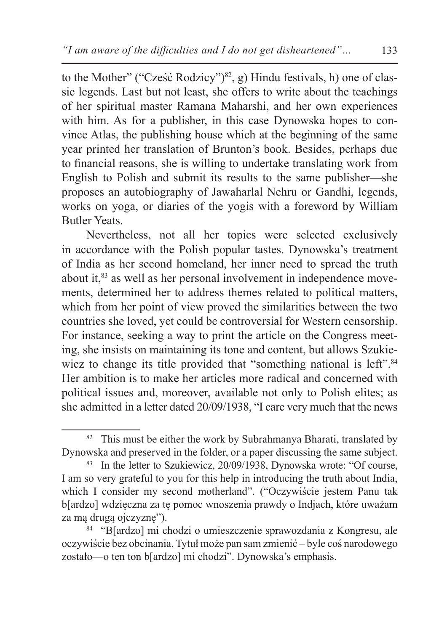to the Mother" ("Cześć Rodzicy")<sup>82</sup>, g) Hindu festivals, h) one of classic legends. Last but not least, she offers to write about the teachings of her spiritual master Ramana Maharshi, and her own experiences with him. As for a publisher, in this case Dynowska hopes to convince Atlas, the publishing house which at the beginning of the same year printed her translation of Brunton's book. Besides, perhaps due to financial reasons, she is willing to undertake translating work from English to Polish and submit its results to the same publisher—she proposes an autobiography of Jawaharlal Nehru or Gandhi, legends, works on yoga, or diaries of the yogis with a foreword by William Butler Yeats.

Nevertheless, not all her topics were selected exclusively in accordance with the Polish popular tastes. Dynowska's treatment of India as her second homeland, her inner need to spread the truth about it,83 as well as her personal involvement in independence movements, determined her to address themes related to political matters, which from her point of view proved the similarities between the two countries she loved, yet could be controversial for Western censorship. For instance, seeking a way to print the article on the Congress meeting, she insists on maintaining its tone and content, but allows Szukiewicz to change its title provided that "something national is left".<sup>84</sup> Her ambition is to make her articles more radical and concerned with political issues and, moreover, available not only to Polish elites; as she admitted in a letter dated 20/09/1938, "I care very much that the news

 $82$  This must be either the work by Subrahmanya Bharati, translated by Dynowska and preserved in the folder, or a paper discussing the same subject.

<sup>&</sup>lt;sup>83</sup> In the letter to Szukiewicz, 20/09/1938, Dynowska wrote: "Of course, I am so very grateful to you for this help in introducing the truth about India, which I consider my second motherland". ("Oczywiście jestem Panu tak b[ardzo] wdzięczna za tę pomoc wnoszenia prawdy o Indjach, które uważam za mą drugą ojczyznę").

<sup>84</sup> "B[ardzo] mi chodzi o umieszczenie sprawozdania z Kongresu, ale oczywiście bez obcinania. Tytuł może pan sam zmienić – byle coś narodowego zostało—o ten ton b[ardzo] mi chodzi". Dynowska's emphasis.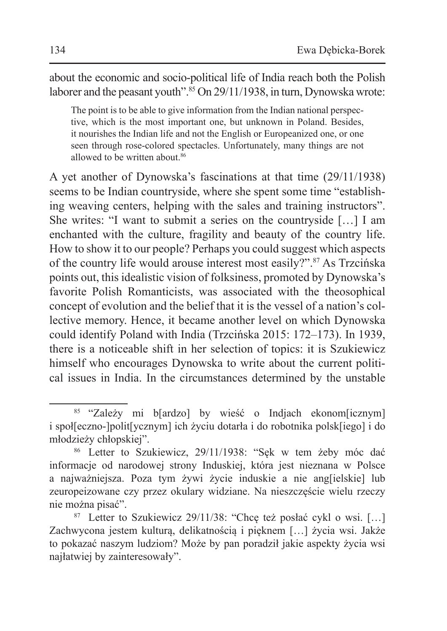about the economic and socio-political life of India reach both the Polish laborer and the peasant youth".<sup>85</sup> On 29/11/1938, in turn, Dynowska wrote:

The point is to be able to give information from the Indian national perspective, which is the most important one, but unknown in Poland. Besides, it nourishes the Indian life and not the English or Europeanized one, or one seen through rose-colored spectacles. Unfortunately, many things are not allowed to be written about.<sup>86</sup>

A yet another of Dynowska's fascinations at that time (29/11/1938) seems to be Indian countryside, where she spent some time "establishing weaving centers, helping with the sales and training instructors". She writes: "I want to submit a series on the countryside [...] I am enchanted with the culture, fragility and beauty of the country life. How to show it to our people? Perhaps you could suggest which aspects of the country life would arouse interest most easily?".<sup>87</sup> As Trzcińska points out, this idealistic vision of folksiness, promoted by Dynowska's favorite Polish Romanticists, was associated with the theosophical concept of evolution and the belief that it is the vessel of a nation's collective memory. Hence, it became another level on which Dynowska could identify Poland with India (Trzcińska 2015: 172–173). In 1939, there is a noticeable shift in her selection of topics: it is Szukiewicz himself who encourages Dynowska to write about the current political issues in India. In the circumstances determined by the unstable

<sup>85</sup> "Zależy mi b[ardzo] by wieść o Indjach ekonom[icznym] i społ[eczno-]polit[ycznym] ich życiu dotarła i do robotnika polsk[iego] i do młodzieży chłopskiej".

<sup>86</sup> Letter to Szukiewicz, 29/11/1938: "Sęk w tem żeby móc dać informacje od narodowej strony Induskiej, która jest nieznana w Polsce a najważniejsza. Poza tym żywi życie induskie a nie ang[ielskie] lub zeuropeizowane czy przez okulary widziane. Na nieszczęście wielu rzeczy nie można pisać".

<sup>&</sup>lt;sup>87</sup> Letter to Szukiewicz 29/11/38: "Chce też posłać cykl o wsi. [...] Zachwycona jestem kulturą, delikatnością i pięknem […] życia wsi. Jakże to pokazać naszym ludziom? Może by pan poradził jakie aspekty życia wsi najłatwiej by zainteresowały".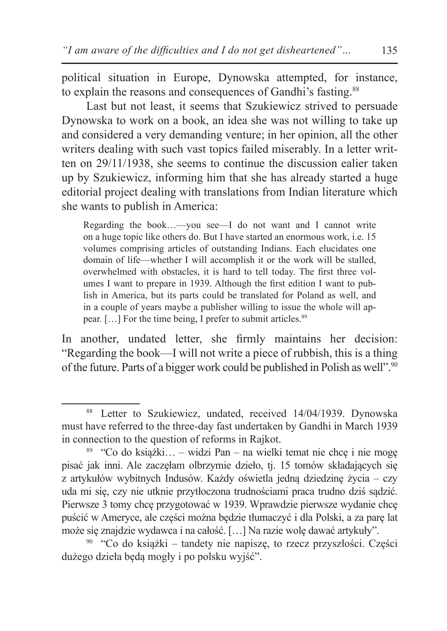political situation in Europe, Dynowska attempted, for instance, to explain the reasons and consequences of Gandhi's fasting.<sup>88</sup>

Last but not least, it seems that Szukiewicz strived to persuade Dynowska to work on a book, an idea she was not willing to take up and considered a very demanding venture; in her opinion, all the other writers dealing with such vast topics failed miserably. In a letter written on 29/11/1938, she seems to continue the discussion ealier taken up by Szukiewicz, informing him that she has already started a huge editorial project dealing with translations from Indian literature which she wants to publish in America:

Regarding the book…—you see—I do not want and I cannot write on a huge topic like others do. But I have started an enormous work, i.e. 15 volumes comprising articles of outstanding Indians. Each elucidates one domain of life—whether I will accomplish it or the work will be stalled, overwhelmed with obstacles, it is hard to tell today. The first three volumes I want to prepare in 1939. Although the first edition I want to publish in America, but its parts could be translated for Poland as well, and in a couple of years maybe a publisher willing to issue the whole will appear. […] For the time being, I prefer to submit articles.<sup>89</sup>

In another, undated letter, she firmly maintains her decision: "Regarding the book—I will not write a piece of rubbish, this is a thing of the future. Parts of a bigger work could be published in Polish as well".<sup>90</sup>

<sup>88</sup> Letter to Szukiewicz, undated, received 14/04/1939. Dynowska must have referred to the three-day fast undertaken by Gandhi in March 1939 in connection to the question of reforms in Rajkot.

<sup>89</sup> "Co do książki… – widzi Pan – na wielki temat nie chcę i nie mogę pisać jak inni. Ale zaczęłam olbrzymie dzieło, tj. 15 tomów składających się z artykułów wybitnych Indusów. Każdy oświetla jedną dziedzinę życia – czy uda mi się, czy nie utknie przytłoczona trudnościami praca trudno dziś sądzić. Pierwsze 3 tomy chcę przygotować w 1939. Wprawdzie pierwsze wydanie chcę puścić w Ameryce, ale części można będzie tłumaczyć i dla Polski, a za parę lat może się znajdzie wydawca i na całość. […] Na razie wolę dawać artykuły".

<sup>90</sup> "Co do książki – tandety nie napiszę, to rzecz przyszłości. Części dużego dzieła będą mogły i po polsku wyjść".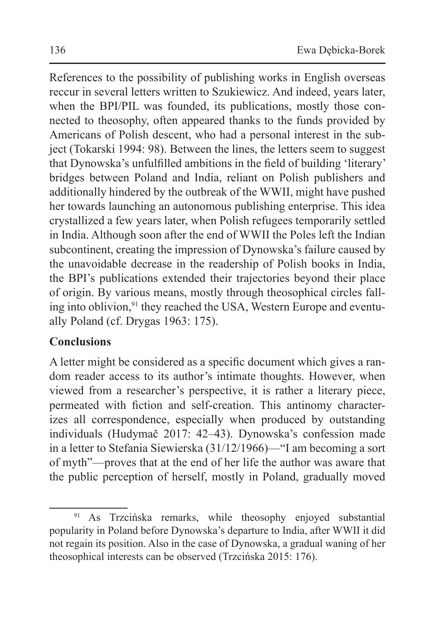References to the possibility of publishing works in English overseas reccur in several letters written to Szukiewicz. And indeed, years later, when the BPI/PIL was founded, its publications, mostly those connected to theosophy, often appeared thanks to the funds provided by Americans of Polish descent, who had a personal interest in the subject (Tokarski 1994: 98). Between the lines, the letters seem to suggest that Dynowska's unfulfilled ambitions in the field of building 'literary' bridges between Poland and India, reliant on Polish publishers and additionally hindered by the outbreak of the WWII, might have pushed her towards launching an autonomous publishing enterprise. This idea crystallized a few years later, when Polish refugees temporarily settled in India. Although soon after the end of WWII the Poles left the Indian subcontinent, creating the impression of Dynowska's failure caused by the unavoidable decrease in the readership of Polish books in India, the BPI's publications extended their trajectories beyond their place of origin. By various means, mostly through theosophical circles falling into oblivion,<sup>91</sup> they reached the USA, Western Europe and eventually Poland (cf. Drygas 1963: 175).

## **Conclusions**

A letter might be considered as a specific document which gives a random reader access to its author's intimate thoughts. However, when viewed from a researcher's perspective, it is rather a literary piece, permeated with fiction and self-creation. This antinomy characterizes all correspondence, especially when produced by outstanding individuals (Hudymač 2017: 42–43). Dynowska's confession made in a letter to Stefania Siewierska (31/12/1966)—"I am becoming a sort of myth"—proves that at the end of her life the author was aware that the public perception of herself, mostly in Poland, gradually moved

<sup>91</sup> As Trzcińska remarks, while theosophy enjoyed substantial popularity in Poland before Dynowska's departure to India, after WWII it did not regain its position. Also in the case of Dynowska, a gradual waning of her theosophical interests can be observed (Trzcińska 2015: 176).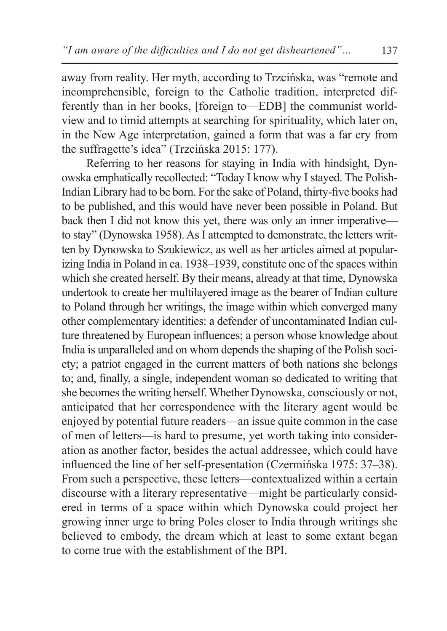away from reality. Her myth, according to Trzcińska, was "remote and incomprehensible, foreign to the Catholic tradition, interpreted differently than in her books, [foreign to—EDB] the communist worldview and to timid attempts at searching for spirituality, which later on, in the New Age interpretation, gained a form that was a far cry from the suffragette's idea" (Trzcińska 2015: 177).

Referring to her reasons for staying in India with hindsight, Dynowska emphatically recollected: "Today I know why I stayed. The Polish-Indian Library had to be born. For the sake of Poland, thirty-five books had to be published, and this would have never been possible in Poland. But back then I did not know this yet, there was only an inner imperative to stay" (Dynowska 1958). As I attempted to demonstrate, the letters written by Dynowska to Szukiewicz, as well as her articles aimed at popularizing India in Poland in ca. 1938–1939, constitute one of the spaces within which she created herself. By their means, already at that time, Dynowska undertook to create her multilayered image as the bearer of Indian culture to Poland through her writings, the image within which converged many other complementary identities: a defender of uncontaminated Indian culture threatened by European influences; a person whose knowledge about India is unparalleled and on whom depends the shaping of the Polish society; a patriot engaged in the current matters of both nations she belongs to; and, finally, a single, independent woman so dedicated to writing that she becomes the writing herself. Whether Dynowska, consciously or not, anticipated that her correspondence with the literary agent would be enjoyed by potential future readers—an issue quite common in the case of men of letters—is hard to presume, yet worth taking into consideration as another factor, besides the actual addressee, which could have influenced the line of her self-presentation (Czermińska 1975: 37–38). From such a perspective, these letters—contextualized within a certain discourse with a literary representative—might be particularly considered in terms of a space within which Dynowska could project her growing inner urge to bring Poles closer to India through writings she believed to embody, the dream which at least to some extant began to come true with the establishment of the BPI.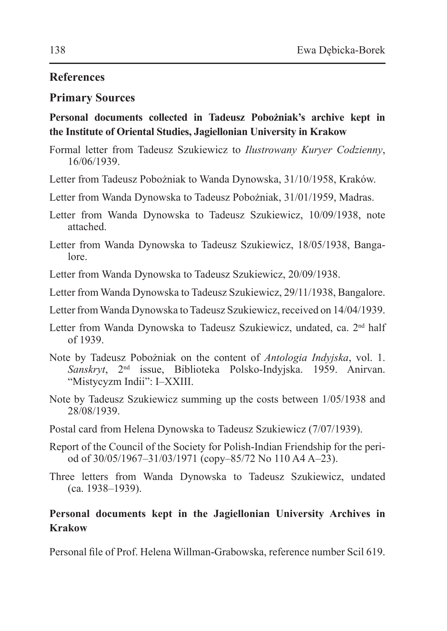## **References**

## **Primary Sources**

## **Personal documents collected in Tadeusz Pobożniak's archive kept in the Institute of Oriental Studies, Jagiellonian University in Krakow**

- Formal letter from Tadeusz Szukiewicz to *Ilustrowany Kuryer Codzienny*, 16/06/1939.
- Letter from Tadeusz Pobożniak to Wanda Dynowska, 31/10/1958, Kraków.
- Letter from Wanda Dynowska to Tadeusz Pobożniak, 31/01/1959, Madras.
- Letter from Wanda Dynowska to Tadeusz Szukiewicz, 10/09/1938, note attached.
- Letter from Wanda Dynowska to Tadeusz Szukiewicz, 18/05/1938, Bangalore.
- Letter from Wanda Dynowska to Tadeusz Szukiewicz, 20/09/1938.
- Letter from Wanda Dynowska to Tadeusz Szukiewicz, 29/11/1938, Bangalore.
- Letter from Wanda Dynowska to Tadeusz Szukiewicz, received on 14/04/1939.
- Letter from Wanda Dynowska to Tadeusz Szukiewicz, undated, ca. 2<sup>nd</sup> half of 1939.
- Note by Tadeusz Pobożniak on the content of *Antologia Indyjska*, vol. 1. *Sanskryt*, 2nd issue, Biblioteka Polsko-Indyjska. 1959. Anirvan. "Mistycyzm Indii": I–XXIII.
- Note by Tadeusz Szukiewicz summing up the costs between 1/05/1938 and 28/08/1939.
- Postal card from Helena Dynowska to Tadeusz Szukiewicz (7/07/1939).
- Report of the Council of the Society for Polish-Indian Friendship for the period of 30/05/1967–31/03/1971 (copy–85/72 No 110 A4 A–23).
- Three letters from Wanda Dynowska to Tadeusz Szukiewicz, undated (ca. 1938–1939).

# **Personal documents kept in the Jagiellonian University Archives in Krakow**

Personal file of Prof. Helena Willman-Grabowska, reference number Scil 619.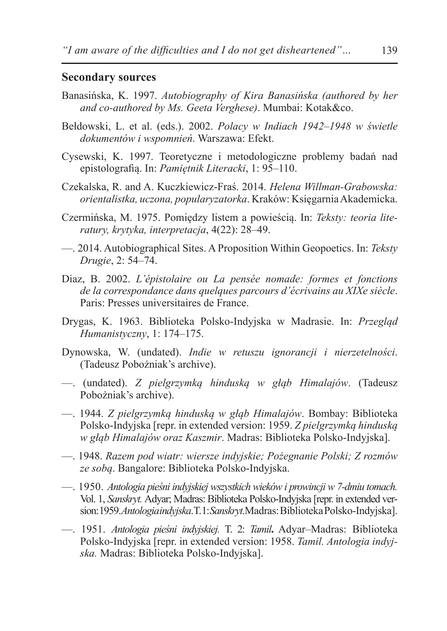### **Secondary sources**

- Banasińska, K. 1997. *Autobiography of Kira Banasińska (authored by her and co-authored by Ms. Geeta Verghese)*. Mumbai: Kotak&co.
- Bełdowski, L. et al. (eds.). 2002. *Polacy w Indiach 1942–1948 w świetle dokumentów i wspomnień*. Warszawa: Efekt.
- Cysewski, K. 1997. Teoretyczne i metodologiczne problemy badań nad epistolografią. In: *Pamiętnik Literacki*, 1: 95–110.
- Czekalska, R. and A. Kuczkiewicz-Fraś. 2014. *Helena Willman-Grabowska: orientalistka, uczona, popularyzatorka*. Kraków: Księgarnia Akademicka.
- Czermińska, M. 1975. Pomiędzy listem a powieścią. In: *Teksty: teoria literatury, krytyka, interpretacja*, 4(22): 28–49.
- —. 2014. Autobiographical Sites. A Proposition Within Geopoetics. In: *Teksty Drugie*, 2: 54–74.
- Diaz, B. 2002. *L'épistolaire ou La pensée nomade: formes et fonctions de la correspondance dans quelques parcours d'écrivains au XIXe siècle*. Paris: Presses universitaires de France.
- Drygas, K. 1963. Biblioteka Polsko-Indyjska w Madrasie. In: *Przegląd Humanistyczny*, 1: 174–175.
- Dynowska, W. (undated). *Indie w retuszu ignorancji i nierzetelności*. (Tadeusz Pobożniak's archive).
- —. (undated). *Z pielgrzymką hinduską w głąb Himalajów*. (Tadeusz Pobożniak's archive).
- —. 1944. *Z pielgrzymką hinduską w głąb Himalajów*. Bombay: Biblioteka Polsko-Indyjska [repr. in extended version: 1959. *Z pielgrzymką hinduską w głąb Himalajów oraz Kaszmir*. Madras: Biblioteka Polsko-Indyjska].
- —. 1948. *Razem pod wiatr: wiersze indyjskie; Pożegnanie Polski; Z rozmów ze sobą*. Bangalore: Biblioteka Polsko-Indyjska.
- —. 1950. *Antologia pieśni indyjskiej wszystkich wieków i prowincji w 7-dmiu tomach.*  Vol. 1, *Sanskryt.* Adyar; Madras: Biblioteka Polsko-Indyjska [repr. in extended version: 1959. *Antologia indyjska*. T. 1: *Sanskryt*. Madras: Biblioteka Polsko-Indyjska].
- —. 1951. *Antologia pieśni indyjskiej.* T. 2: *Tamil***.** Adyar–Madras: Biblioteka Polsko-Indyjska [repr. in extended version: 1958. *Tamil. Antologia indyjska.* Madras: Biblioteka Polsko-Indyjska].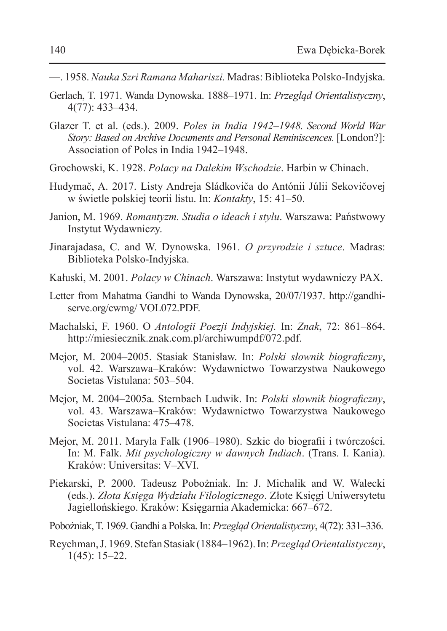- —. 1958. *Nauka Szri Ramana Mahariszi.* Madras: Biblioteka Polsko-Indyjska.
- Gerlach, T. 1971. Wanda Dynowska. 1888–1971. In: *Przegląd Orientalistyczny*, 4(77): 433–434.
- Glazer T. et al. (eds.). 2009. *Poles in India 1942–1948. Second World War Story: Based on Archive Documents and Personal Reminiscences.* [London?]: Association of Poles in India 1942–1948.
- Grochowski, K. 1928. *Polacy na Dalekim Wschodzie*. Harbin w Chinach.
- Hudymač, A. 2017. Listy Andreja Sládkoviča do Antónii Júlii Sekovičovej w świetle polskiej teorii listu. In: *Kontakty*, 15: 41–50.
- Janion, M. 1969. *Romantyzm. Studia o ideach i stylu*. Warszawa: Państwowy Instytut Wydawniczy.
- Jinarajadasa, C. and W. Dynowska. 1961. *O przyrodzie i sztuce*. Madras: Biblioteka Polsko-Indyjska.
- Kałuski, M. 2001. *Polacy w Chinach*. Warszawa: Instytut wydawniczy PAX.
- Letter from Mahatma Gandhi to Wanda Dynowska, 20/07/1937. http://gandhiserve.org/cwmg/ VOL072.PDF.
- Machalski, F. 1960. O *Antologii Poezji Indyjskiej.* In: *Znak*, 72: 861–864. http://miesiecznik.znak.com.pl/archiwumpdf/072.pdf.
- Mejor, M. 2004–2005. Stasiak Stanisław. In: *Polski słownik biograficzny*, vol. 42. Warszawa–Kraków: Wydawnictwo Towarzystwa Naukowego Societas Vistulana: 503–504.
- Mejor, M. 2004–2005a. Sternbach Ludwik. In: *Polski słownik biograficzny*, vol. 43. Warszawa–Kraków: Wydawnictwo Towarzystwa Naukowego Societas Vistulana: 475–478.
- Mejor, M. 2011. Maryla Falk (1906–1980). Szkic do biografii i twórczości. In: M. Falk. *Mit psychologiczny w dawnych Indiach*. (Trans. I. Kania). Kraków: Universitas: V–XVI.
- Piekarski, P. 2000. Tadeusz Pobożniak. In: J. Michalik and W. Walecki (eds.). *Złota Księga Wydziału Filologicznego*. Złote Księgi Uniwersytetu Jagiellońskiego. Kraków: Księgarnia Akademicka: 667–672.
- Pobożniak,T. 1969. Gandhi a Polska. In: *Przegląd Orientalistyczny*, 4(72): 331–336.
- Reychman,J. 1969.StefanStasiak (1884–1962).In:*Przegląd Orientalistyczny*, 1(45): 15–22.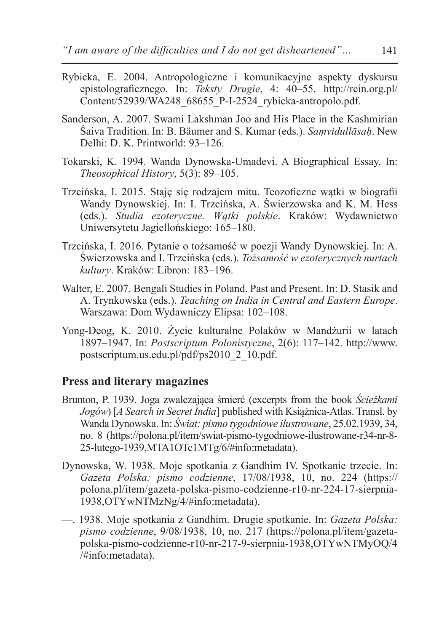- Rybicka, E. 2004. Antropologiczne i komunikacyjne aspekty dyskursu epistolograficznego. In: *Teksty Drugie*, 4: 40–55. http://rcin.org.pl/ Content/52939/WA248\_68655\_P-I-2524\_rybicka-antropolo.pdf.
- Sanderson, A. 2007. Swami Lakshman Joo and His Place in the Kashmirian Śaiva Tradition. In: B. Bäumer and S. Kumar (eds.). *Saṃvidullāsaḥ*. New Delhi: D. K. Printworld: 93–126.
- Tokarski, K. 1994. Wanda Dynowska-Umadevi. A Biographical Essay. In: *Theosophical History*, 5(3): 89–105.
- Trzcińska, I. 2015. Staję się rodzajem mitu. Teozoficzne wątki w biografii Wandy Dynowskiej. In: I. Trzcińska, A. Świerzowska and K. M. Hess (eds.). *Studia ezoteryczne. Wątki polskie*. Kraków: Wydawnictwo Uniwersytetu Jagiellońskiego: 165–180.
- Trzcińska, I. 2016. Pytanie o tożsamość w poezji Wandy Dynowskiej. In: A. Świerzowska and I. Trzcińska (eds.). *Tożsamość w ezoterycznych nurtach kultury*. Kraków: Libron: 183–196.
- Walter, E. 2007. Bengali Studies in Poland. Past and Present. In: D. Stasik and A. Trynkowska (eds.). *Teaching on India in Central and Eastern Europe*. Warszawa: Dom Wydawniczy Elipsa: 102–108.
- Yong-Deog, K. 2010. Życie kulturalne Polaków w Mandżurii w latach 1897–1947. In: *Postscriptum Polonistyczne*, 2(6): 117–142. http://www. postscriptum.us.edu.pl/pdf/ps2010\_2\_10.pdf.

#### **Press and literary magazines**

- Brunton, P. 1939. Joga zwalczająca śmierć (excerpts from the book *Ścieżkami Jogów*) [*A Search in Secret India*] published with Książnica-Atlas. Transl. by Wanda Dynowska. In: *Świat: pismo tygodniowe ilustrowane*, 25.02.1939, 34, no. 8 (https://polona.pl/item/swiat-pismo-tygodniowe-ilustrowane-r34-nr-8- 25-lutego-1939,MTA1OTc1MTg/6/#info:metadata).
- Dynowska, W. 1938. Moje spotkania z Gandhim IV. Spotkanie trzecie. In: *Gazeta Polska: pismo codzienne*, 17/08/1938, 10, no. 224 (https:// polona.pl/item/gazeta-polska-pismo-codzienne-r10-nr-224-17-sierpnia-1938,OTYwNTMzNg/4/#info:metadata).
- —. 1938. Moje spotkania z Gandhim. Drugie spotkanie. In: *Gazeta Polska: pismo codzienne*, 9/08/1938, 10, no. 217 (https://polona.pl/item/gazetapolska-pismo-codzienne-r10-nr-217-9-sierpnia-1938,OTYwNTMyOQ/4 /#info:metadata).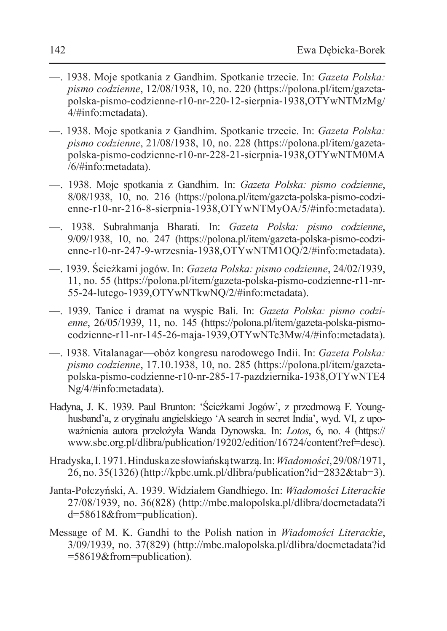- —. 1938. Moje spotkania z Gandhim. Spotkanie trzecie. In: *Gazeta Polska: pismo codzienne*, 12/08/1938, 10, no. 220 (https://polona.pl/item/gazetapolska-pismo-codzienne-r10-nr-220-12-sierpnia-1938,OTYwNTMzMg/ 4/#info:metadata).
- —. 1938. Moje spotkania z Gandhim. Spotkanie trzecie. In: *Gazeta Polska: pismo codzienne*, 21/08/1938, 10, no. 228 (https://polona.pl/item/gazetapolska-pismo-codzienne-r10-nr-228-21-sierpnia-1938,OTYwNTM0MA /6/#info:metadata).
- —. 1938. Moje spotkania z Gandhim. In: *Gazeta Polska: pismo codzienne*, 8/08/1938, 10, no. 216 (https://polona.pl/item/gazeta-polska-pismo-codzienne-r10-nr-216-8-sierpnia-1938,OTYwNTMyOA/5/#info:metadata).
- —. 1938. Subrahmanja Bharati. In: *Gazeta Polska: pismo codzienne*, 9/09/1938, 10, no. 247 (https://polona.pl/item/gazeta-polska-pismo-codzienne-r10-nr-247-9-wrzesnia-1938,OTYwNTM1OQ/2/#info:metadata).
- —. 1939. Ścieżkami jogów. In: *Gazeta Polska: pismo codzienne*, 24/02/1939, 11, no. 55 (https://polona.pl/item/gazeta-polska-pismo-codzienne-r11-nr-55-24-lutego-1939,OTYwNTkwNQ/2/#info:metadata).
- —. 1939. Taniec i dramat na wyspie Bali. In: *Gazeta Polska: pismo codzienne*, 26/05/1939, 11, no. 145 (https://polona.pl/item/gazeta-polska-pismocodzienne-r11-nr-145-26-maja-1939,OTYwNTc3Mw/4/#info:metadata).
- —. 1938. Vitalanagar—obóz kongresu narodowego Indii. In: *Gazeta Polska: pismo codzienne*, 17.10.1938, 10, no. 285 (https://polona.pl/item/gazetapolska-pismo-codzienne-r10-nr-285-17-pazdziernika-1938,OTYwNTE4 Ng/4/#info:metadata).
- Hadyna, J. K. 1939. Paul Brunton: 'Ścieżkami Jogów', z przedmową F. Younghusband'a, z oryginału angielskiego 'A search in secret India', wyd. VI, z upoważnienia autora przełożyła Wanda Dynowska. In: *Lotos*, 6, no. 4 (https:// www.sbc.org.pl/dlibra/publication/19202/edition/16724/content?ref=desc).
- Hradyska,I.1971.Hinduskazesłowiańskątwarzą.In:*Wiadomości*,29/08/1971, 26, no. 35(1326)(http://kpbc.umk.pl/dlibra/publication?id=2832&tab=3).
- Janta-Połczyński, A. 1939. Widziałem Gandhiego. In: *Wiadomości Literackie* 27/08/1939, no. 36(828) (http://mbc.malopolska.pl/dlibra/docmetadata?i d=58618&from=publication).
- Message of M. K. Gandhi to the Polish nation in *Wiadomości Literackie*, 3/09/1939, no. 37(829) (http://mbc.malopolska.pl/dlibra/docmetadata?id =58619&from=publication).